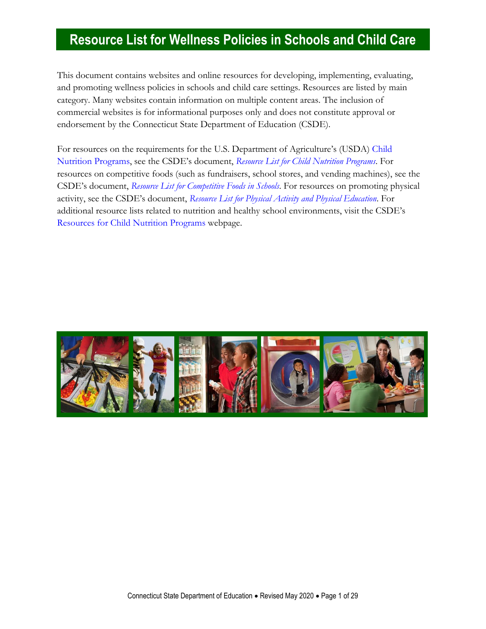This document contains websites and online resources for developing, implementing, evaluating, and promoting wellness policies in schools and child care settings. Resources are listed by main category. Many websites contain information on multiple content areas. The inclusion of commercial websites is for informational purposes only and does not constitute approval or endorsement by the Connecticut State Department of Education (CSDE).

For resources on the requirements for the U.S. Department of Agriculture's (USDA) [Child](https://portal.ct.gov/SDE/Nutrition/Child-Nutrition-Programs)  [Nutrition Programs](https://portal.ct.gov/SDE/Nutrition/Child-Nutrition-Programs), see the CSDE's document, *[Resource List for Child Nutrition Programs](https://portal.ct.gov/-/media/SDE/Nutrition/Resources/ResourcesChildNutritionPrograms.pdf)*. For resources on competitive foods (such as fundraisers, school stores, and vending machines), see the CSDE's document, *[Resource List for Competitive Foods in Schools](https://portal.ct.gov/-/media/SDE/Nutrition/Resources/ResourcesCompetitiveFoods.pdf)*. For resources on promoting physical activity, see the CSDE's document, *[Resource List for Physical Activity and Physical Education](https://portal.ct.gov/-/media/SDE/Nutrition/Resources/ResourcesPhysicalActivity.pdf)*. For additional resource lists related to nutrition and healthy school environments, visit the CSDE's [Resources for Child Nutrition Programs](https://portal.ct.gov/SDE/Nutrition/Resources-for-Child-Nutrition-Programs) webpage.

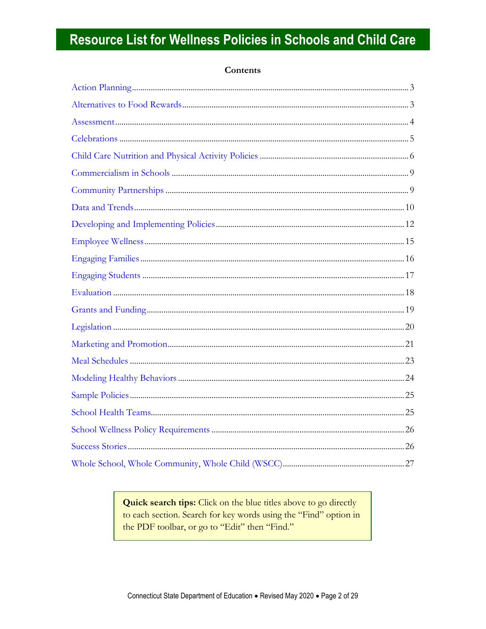### Contents

Quick search tips: Click on the blue titles above to go directly to each section. Search for key words using the "Find" option in the PDF toolbar, or go to "Edit" then "Find."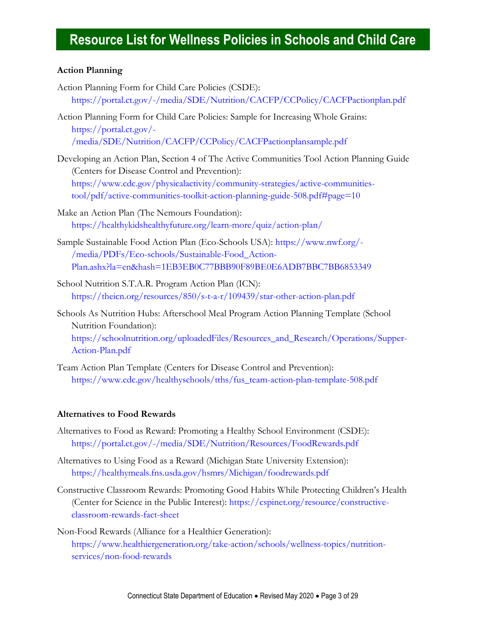#### <span id="page-2-0"></span>**Action Planning**

- Action Planning Form for Child Care Policies (CSDE): <https://portal.ct.gov/-/media/SDE/Nutrition/CACFP/CCPolicy/CACFPactionplan.pdf>
- Action Planning Form for Child Care Policies: Sample for Increasing Whole Grains: [https://portal.ct.gov/-](https://portal.ct.gov/-/media/SDE/Nutrition/CACFP/CCPolicy/CACFPactionplansample.pdf) [/media/SDE/Nutrition/CACFP/CCPolicy/CACFPactionplansample.pdf](https://portal.ct.gov/-/media/SDE/Nutrition/CACFP/CCPolicy/CACFPactionplansample.pdf)
- Developing an Action Plan, Section 4 of The Active Communities Tool Action Planning Guide (Centers for Disease Control and Prevention): [https://www.cdc.gov/physicalactivity/community-strategies/active-communities](https://www.cdc.gov/physicalactivity/community-strategies/active-communities-tool/pdf/active-communities-toolkit-action-planning-guide-508.pdf#page=10)[tool/pdf/active-communities-toolkit-action-planning-guide-508.pdf#page=10](https://www.cdc.gov/physicalactivity/community-strategies/active-communities-tool/pdf/active-communities-toolkit-action-planning-guide-508.pdf#page=10)
- Make an Action Plan (The Nemours Foundation): <https://healthykidshealthyfuture.org/learn-more/quiz/action-plan/>
- Sample Sustainable Food Action Plan (Eco-Schools USA): [https://www.nwf.org/-](https://www.nwf.org/-/media/PDFs/Eco-schools/Sustainable-Food_Action-Plan.ashx?la=en&hash=1EB3EB0C77BBB90F89BE0E6ADB7BBC7BB6853349) [/media/PDFs/Eco-schools/Sustainable-Food\\_Action-](https://www.nwf.org/-/media/PDFs/Eco-schools/Sustainable-Food_Action-Plan.ashx?la=en&hash=1EB3EB0C77BBB90F89BE0E6ADB7BBC7BB6853349)[Plan.ashx?la=en&hash=1EB3EB0C77BBB90F89BE0E6ADB7BBC7BB6853349](https://www.nwf.org/-/media/PDFs/Eco-schools/Sustainable-Food_Action-Plan.ashx?la=en&hash=1EB3EB0C77BBB90F89BE0E6ADB7BBC7BB6853349)
- School Nutrition S.T.A.R. Program Action Plan (ICN): <https://theicn.org/resources/850/s-t-a-r/109439/star-other-action-plan.pdf>
- Schools As Nutrition Hubs: Afterschool Meal Program Action Planning Template (School Nutrition Foundation): [https://schoolnutrition.org/uploadedFiles/Resources\\_and\\_Research/Operations/Supper-](https://schoolnutrition.org/uploadedFiles/Resources_and_Research/Operations/Supper-Action-Plan.pdf)[Action-Plan.pdf](https://schoolnutrition.org/uploadedFiles/Resources_and_Research/Operations/Supper-Action-Plan.pdf)
- Team Action Plan Template (Centers for Disease Control and Prevention): [https://www.cdc.gov/healthyschools/tths/fus\\_team-action-plan-template-508.pdf](https://www.cdc.gov/healthyschools/tths/fus_team-action-plan-template-508.pdf)

#### <span id="page-2-1"></span>**Alternatives to Food Rewards**

- Alternatives to Food as Reward: Promoting a Healthy School Environment (CSDE): <https://portal.ct.gov/-/media/SDE/Nutrition/Resources/FoodRewards.pdf>
- Alternatives to Using Food as a Reward (Michigan State University Extension): <https://healthymeals.fns.usda.gov/hsmrs/Michigan/foodrewards.pdf>
- Constructive Classroom Rewards: Promoting Good Habits While Protecting Children's Health (Center for Science in the Public Interest): [https://cspinet.org/resource/constructive](https://cspinet.org/resource/constructive-classroom-rewards-fact-sheet)[classroom-rewards-fact-sheet](https://cspinet.org/resource/constructive-classroom-rewards-fact-sheet)
- Non-Food Rewards (Alliance for a Healthier Generation): [https://www.healthiergeneration.org/take-action/schools/wellness-topics/nutrition](https://www.healthiergeneration.org/take-action/schools/wellness-topics/nutrition-services/non-food-rewards)[services/non-food-rewards](https://www.healthiergeneration.org/take-action/schools/wellness-topics/nutrition-services/non-food-rewards)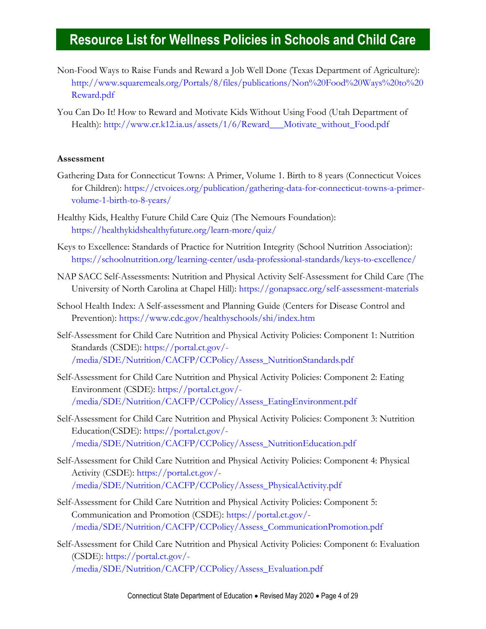- Non-Food Ways to Raise Funds and Reward a Job Well Done (Texas Department of Agriculture): [http://www.squaremeals.org/Portals/8/files/publications/Non%20Food%20Ways%20to%20](http://www.squaremeals.org/Portals/8/files/publications/Non%20Food%20Ways%20to%20Reward.pdf) [Reward.pdf](http://www.squaremeals.org/Portals/8/files/publications/Non%20Food%20Ways%20to%20Reward.pdf)
- You Can Do It! How to Reward and Motivate Kids Without Using Food (Utah Department of Health): [http://www.cr.k12.ia.us/assets/1/6/Reward\\_\\_\\_Motivate\\_without\\_Food.pdf](http://www.cr.k12.ia.us/assets/1/6/Reward___Motivate_without_Food.pdf)

#### **Assessment**

- Gathering Data for Connecticut Towns: A Primer, Volume 1. Birth to 8 years (Connecticut Voices for Children): [https://ctvoices.org/publication/gathering-data-for-connecticut-towns-a-primer](https://ctvoices.org/publication/gathering-data-for-connecticut-towns-a-primer-volume-1-birth-to-8-years/)[volume-1-birth-to-8-years/](https://ctvoices.org/publication/gathering-data-for-connecticut-towns-a-primer-volume-1-birth-to-8-years/)
- Healthy Kids, Healthy Future Child Care Quiz (The Nemours Foundation): <https://healthykidshealthyfuture.org/learn-more/quiz/>
- Keys to Excellence: Standards of Practice for Nutrition Integrity (School Nutrition Association): <https://schoolnutrition.org/learning-center/usda-professional-standards/keys-to-excellence/>
- NAP SACC Self-Assessments: Nutrition and Physical Activity Self-Assessment for Child Care (The University of North Carolina at Chapel Hill):<https://gonapsacc.org/self-assessment-materials>
- School Health Index: A Self-assessment and Planning Guide (Centers for Disease Control and Prevention):<https://www.cdc.gov/healthyschools/shi/index.htm>
- Self-Assessment for Child Care Nutrition and Physical Activity Policies: Component 1: Nutrition Standards (CSDE): [https://portal.ct.gov/-](https://portal.ct.gov/-/media/SDE/Nutrition/CACFP/CCPolicy/Assess_NutritionStandards.pdf) [/media/SDE/Nutrition/CACFP/CCPolicy/Assess\\_NutritionStandards.pdf](https://portal.ct.gov/-/media/SDE/Nutrition/CACFP/CCPolicy/Assess_NutritionStandards.pdf)
- Self-Assessment for Child Care Nutrition and Physical Activity Policies: Component 2: Eating Environment (CSDE): [https://portal.ct.gov/-](https://portal.ct.gov/-/media/SDE/Nutrition/CACFP/CCPolicy/Assess_EatingEnvironment.pdf) [/media/SDE/Nutrition/CACFP/CCPolicy/Assess\\_EatingEnvironment.pdf](https://portal.ct.gov/-/media/SDE/Nutrition/CACFP/CCPolicy/Assess_EatingEnvironment.pdf)
- Self-Assessment for Child Care Nutrition and Physical Activity Policies: Component 3: Nutrition Education(CSDE): [https://portal.ct.gov/-](https://portal.ct.gov/-/media/SDE/Nutrition/CACFP/CCPolicy/Assess_NutritionEducation.pdf) [/media/SDE/Nutrition/CACFP/CCPolicy/Assess\\_NutritionEducation.pdf](https://portal.ct.gov/-/media/SDE/Nutrition/CACFP/CCPolicy/Assess_NutritionEducation.pdf)
- Self-Assessment for Child Care Nutrition and Physical Activity Policies: Component 4: Physical Activity (CSDE): [https://portal.ct.gov/-](https://portal.ct.gov/-/media/SDE/Nutrition/CACFP/CCPolicy/Assess_PhysicalActivity.pdf) [/media/SDE/Nutrition/CACFP/CCPolicy/Assess\\_PhysicalActivity.pdf](https://portal.ct.gov/-/media/SDE/Nutrition/CACFP/CCPolicy/Assess_PhysicalActivity.pdf)
- Self-Assessment for Child Care Nutrition and Physical Activity Policies: Component 5: Communication and Promotion (CSDE): [https://portal.ct.gov/-](https://portal.ct.gov/-/media/SDE/Nutrition/CACFP/CCPolicy/Assess_CommunicationPromotion.pdf) [/media/SDE/Nutrition/CACFP/CCPolicy/Assess\\_CommunicationPromotion.pdf](https://portal.ct.gov/-/media/SDE/Nutrition/CACFP/CCPolicy/Assess_CommunicationPromotion.pdf)
- Self-Assessment for Child Care Nutrition and Physical Activity Policies: Component 6: Evaluation (CSDE): [https://portal.ct.gov/-](https://portal.ct.gov/-/media/SDE/Nutrition/CACFP/CCPolicy/Assess_Evaluation.pdf) [/media/SDE/Nutrition/CACFP/CCPolicy/Assess\\_Evaluation.pdf](https://portal.ct.gov/-/media/SDE/Nutrition/CACFP/CCPolicy/Assess_Evaluation.pdf)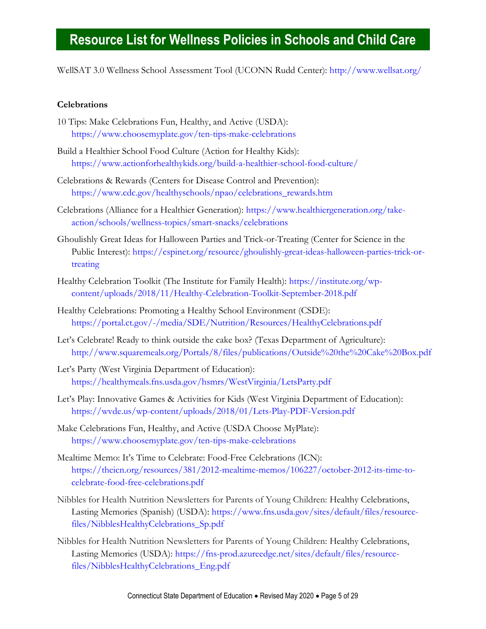WellSAT 3.0 Wellness School Assessment Tool (UCONN Rudd Center):<http://www.wellsat.org/>

#### <span id="page-4-0"></span>**Celebrations**

- 10 Tips: Make Celebrations Fun, Healthy, and Active (USDA): <https://www.choosemyplate.gov/ten-tips-make-celebrations>
- Build a Healthier School Food Culture (Action for Healthy Kids): <https://www.actionforhealthykids.org/build-a-healthier-school-food-culture/>
- Celebrations & Rewards (Centers for Disease Control and Prevention): [https://www.cdc.gov/healthyschools/npao/celebrations\\_rewards.htm](https://www.cdc.gov/healthyschools/npao/celebrations_rewards.htm)
- Celebrations (Alliance for a Healthier Generation): [https://www.healthiergeneration.org/take](https://www.healthiergeneration.org/take-action/schools/wellness-topics/smart-snacks/celebrations)[action/schools/wellness-topics/smart-snacks/celebrations](https://www.healthiergeneration.org/take-action/schools/wellness-topics/smart-snacks/celebrations)
- Ghoulishly Great Ideas for Halloween Parties and Trick-or-Treating (Center for Science in the Public Interest): [https://cspinet.org/resource/ghoulishly-great-ideas-halloween-parties-trick-or](https://cspinet.org/resource/ghoulishly-great-ideas-halloween-parties-trick-or-treating)[treating](https://cspinet.org/resource/ghoulishly-great-ideas-halloween-parties-trick-or-treating)
- Healthy Celebration Toolkit (The Institute for Family Health): [https://institute.org/wp](https://institute.org/wp-content/uploads/2018/11/Healthy-Celebration-Toolkit-September-2018.pdf)[content/uploads/2018/11/Healthy-Celebration-Toolkit-September-2018.pdf](https://institute.org/wp-content/uploads/2018/11/Healthy-Celebration-Toolkit-September-2018.pdf)
- Healthy Celebrations: Promoting a Healthy School Environment (CSDE): <https://portal.ct.gov/-/media/SDE/Nutrition/Resources/HealthyCelebrations.pdf>
- Let's Celebrate! Ready to think outside the cake box? (Texas Department of Agriculture): <http://www.squaremeals.org/Portals/8/files/publications/Outside%20the%20Cake%20Box.pdf>
- Let's Party (West Virginia Department of Education): <https://healthymeals.fns.usda.gov/hsmrs/WestVirginia/LetsParty.pdf>
- Let's Play: Innovative Games & Activities for Kids (West Virginia Department of Education): <https://wvde.us/wp-content/uploads/2018/01/Lets-Play-PDF-Version.pdf>
- Make Celebrations Fun, Healthy, and Active (USDA Choose MyPlate): <https://www.choosemyplate.gov/ten-tips-make-celebrations>
- Mealtime Memo: It's Time to Celebrate: Food-Free Celebrations (ICN): [https://theicn.org/resources/381/2012-mealtime-memos/106227/october-2012-its-time-to](https://theicn.org/resources/381/2012-mealtime-memos/106227/october-2012-its-time-to-celebrate-food-free-celebrations.pdf)[celebrate-food-free-celebrations.pdf](https://theicn.org/resources/381/2012-mealtime-memos/106227/october-2012-its-time-to-celebrate-food-free-celebrations.pdf)
- Nibbles for Health Nutrition Newsletters for Parents of Young Children: Healthy Celebrations, Lasting Memories (Spanish) (USDA): [https://www.fns.usda.gov/sites/default/files/resource](https://www.fns.usda.gov/sites/default/files/resource-files/NibblesHealthyCelebrations_Sp.pdf)[files/NibblesHealthyCelebrations\\_Sp.pdf](https://www.fns.usda.gov/sites/default/files/resource-files/NibblesHealthyCelebrations_Sp.pdf)
- Nibbles for Health Nutrition Newsletters for Parents of Young Children: Healthy Celebrations, Lasting Memories (USDA): [https://fns-prod.azureedge.net/sites/default/files/resource](https://fns-prod.azureedge.net/sites/default/files/resource-files/NibblesHealthyCelebrations_Eng.pdf)[files/NibblesHealthyCelebrations\\_Eng.pdf](https://fns-prod.azureedge.net/sites/default/files/resource-files/NibblesHealthyCelebrations_Eng.pdf)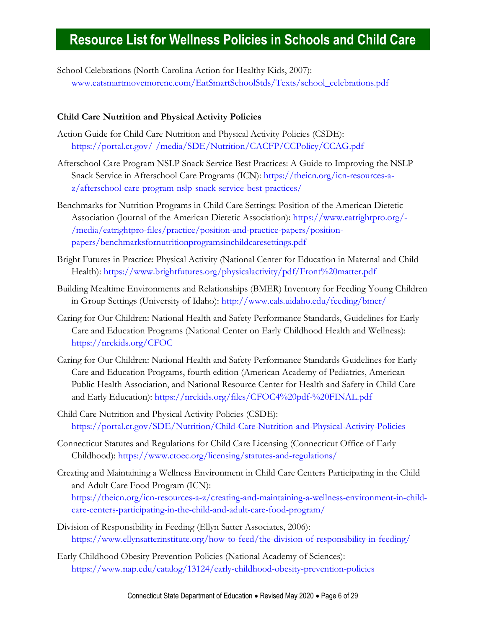School Celebrations (North Carolina Action for Healthy Kids, 2007): [www.eatsmartmovemorenc.com/EatSmartSchoolStds/Texts/school\\_celebrations.pdf](http://www.eatsmartmovemorenc.com/EatSmartSchoolStds/Texts/school_celebrations.pdf)

#### **Child Care Nutrition and Physical Activity Policies**

- Action Guide for Child Care Nutrition and Physical Activity Policies (CSDE): <https://portal.ct.gov/-/media/SDE/Nutrition/CACFP/CCPolicy/CCAG.pdf>
- Afterschool Care Program NSLP Snack Service Best Practices: A Guide to Improving the NSLP Snack Service in Afterschool Care Programs (ICN): [https://theicn.org/icn-resources-a](https://theicn.org/icn-resources-a-z/afterschool-care-program-nslp-snack-service-best-practices/)[z/afterschool-care-program-nslp-snack-service-best-practices/](https://theicn.org/icn-resources-a-z/afterschool-care-program-nslp-snack-service-best-practices/)
- Benchmarks for Nutrition Programs in Child Care Settings: Position of the American Dietetic Association (Journal of the American Dietetic Association): [https://www.eatrightpro.org/-](https://www.eatrightpro.org/-/media/eatrightpro-files/practice/position-and-practice-papers/position-papers/benchmarksfornutritionprogramsinchildcaresettings.pdf) [/media/eatrightpro-files/practice/position-and-practice-papers/position](https://www.eatrightpro.org/-/media/eatrightpro-files/practice/position-and-practice-papers/position-papers/benchmarksfornutritionprogramsinchildcaresettings.pdf)[papers/benchmarksfornutritionprogramsinchildcaresettings.pdf](https://www.eatrightpro.org/-/media/eatrightpro-files/practice/position-and-practice-papers/position-papers/benchmarksfornutritionprogramsinchildcaresettings.pdf)
- Bright Futures in Practice: Physical Activity (National Center for Education in Maternal and Child Health):<https://www.brightfutures.org/physicalactivity/pdf/Front%20matter.pdf>
- Building Mealtime Environments and Relationships (BMER) Inventory for Feeding Young Children in Group Settings (University of Idaho):<http://www.cals.uidaho.edu/feeding/bmer/>
- Caring for Our Children: National Health and Safety Performance Standards, Guidelines for Early Care and Education Programs (National Center on Early Childhood Health and Wellness): <https://nrckids.org/CFOC>
- Caring for Our Children: National Health and Safety Performance Standards Guidelines for Early Care and Education Programs, fourth edition (American Academy of Pediatrics, American Public Health Association, and National Resource Center for Health and Safety in Child Care and Early Education):<https://nrckids.org/files/CFOC4%20pdf-%20FINAL.pdf>
- Child Care Nutrition and Physical Activity Policies (CSDE): <https://portal.ct.gov/SDE/Nutrition/Child-Care-Nutrition-and-Physical-Activity-Policies>
- Connecticut Statutes and Regulations for Child Care Licensing (Connecticut Office of Early Childhood):<https://www.ctoec.org/licensing/statutes-and-regulations/>
- Creating and Maintaining a Wellness Environment in Child Care Centers Participating in the Child and Adult Care Food Program (ICN): [https://theicn.org/icn-resources-a-z/creating-and-maintaining-a-wellness-environment-in-child](https://theicn.org/icn-resources-a-z/creating-and-maintaining-a-wellness-environment-in-child-care-centers-participating-in-the-child-and-adult-care-food-program/)[care-centers-participating-in-the-child-and-adult-care-food-program/](https://theicn.org/icn-resources-a-z/creating-and-maintaining-a-wellness-environment-in-child-care-centers-participating-in-the-child-and-adult-care-food-program/)
- Division of Responsibility in Feeding (Ellyn Satter Associates, 2006): <https://www.ellynsatterinstitute.org/how-to-feed/the-division-of-responsibility-in-feeding/>
- Early Childhood Obesity Prevention Policies (National Academy of Sciences): <https://www.nap.edu/catalog/13124/early-childhood-obesity-prevention-policies>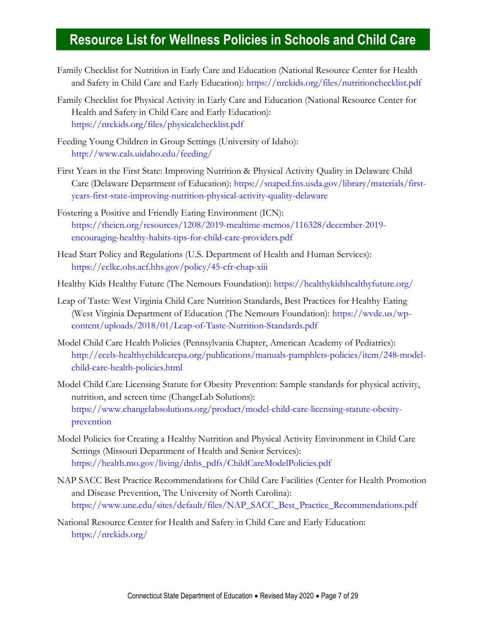- Family Checklist for Nutrition in Early Care and Education (National Resource Center for Health and Safety in Child Care and Early Education):<https://nrckids.org/files/nutritionchecklist.pdf>
- Family Checklist for Physical Activity in Early Care and Education (National Resource Center for Health and Safety in Child Care and Early Education): <https://nrckids.org/files/physicalchecklist.pdf>
- Feeding Young Children in Group Settings (University of Idaho): <http://www.cals.uidaho.edu/feeding/>
- First Years in the First State: Improving Nutrition & Physical Activity Quality in Delaware Child Care (Delaware Department of Education): [https://snaped.fns.usda.gov/library/materials/first](https://snaped.fns.usda.gov/library/materials/first-years-first-state-improving-nutrition-physical-activity-quality-delaware)[years-first-state-improving-nutrition-physical-activity-quality-delaware](https://snaped.fns.usda.gov/library/materials/first-years-first-state-improving-nutrition-physical-activity-quality-delaware)
- Fostering a Positive and Friendly Eating Environment (ICN): [https://theicn.org/resources/1208/2019-mealtime-memos/116328/december-2019](https://theicn.org/resources/1208/2019-mealtime-memos/116328/december-2019-encouraging-healthy-habits-tips-for-child-care-providers.pdf) [encouraging-healthy-habits-tips-for-child-care-providers.pdf](https://theicn.org/resources/1208/2019-mealtime-memos/116328/december-2019-encouraging-healthy-habits-tips-for-child-care-providers.pdf)
- Head Start Policy and Regulations (U.S. Department of Health and Human Services): <https://eclkc.ohs.acf.hhs.gov/policy/45-cfr-chap-xiii>
- Healthy Kids Healthy Future (The Nemours Foundation):<https://healthykidshealthyfuture.org/>
- Leap of Taste: West Virginia Child Care Nutrition Standards, Best Practices for Healthy Eating (West Virginia Department of Education (The Nemours Foundation): [https://wvde.us/wp](https://wvde.us/wp-content/uploads/2018/01/Leap-of-Taste-Nutrition-Standards.pdf)[content/uploads/2018/01/Leap-of-Taste-Nutrition-Standards.pdf](https://wvde.us/wp-content/uploads/2018/01/Leap-of-Taste-Nutrition-Standards.pdf)
- Model Child Care Health Policies (Pennsylvania Chapter, American Academy of Pediatrics): [http://ecels-healthychildcarepa.org/publications/manuals-pamphlets-policies/item/248-model](http://ecels-healthychildcarepa.org/publications/manuals-pamphlets-policies/item/248-model-child-care-health-policies.html)[child-care-health-policies.html](http://ecels-healthychildcarepa.org/publications/manuals-pamphlets-policies/item/248-model-child-care-health-policies.html)
- Model Child Care Licensing Statute for Obesity Prevention: Sample standards for physical activity, nutrition, and screen time (ChangeLab Solutions): [https://www.changelabsolutions.org/product/model-child-care-licensing-statute-obesity](https://www.changelabsolutions.org/product/model-child-care-licensing-statute-obesity-prevention)[prevention](https://www.changelabsolutions.org/product/model-child-care-licensing-statute-obesity-prevention)
- Model Policies for Creating a Healthy Nutrition and Physical Activity Environment in Child Care Settings (Missouri Department of Health and Senior Services): [https://health.mo.gov/living/dnhs\\_pdfs/ChildCareModelPolicies.pdf](https://health.mo.gov/living/dnhs_pdfs/ChildCareModelPolicies.pdf)
- NAP SACC Best Practice Recommendations for Child Care Facilities (Center for Health Promotion and Disease Prevention, The University of North Carolina): [https://www.une.edu/sites/default/files/NAP\\_SACC\\_Best\\_Practice\\_Recommendations.pdf](https://www.une.edu/sites/default/files/NAP_SACC_Best_Practice_Recommendations.pdf)
- National Resource Center for Health and Safety in Child Care and Early Education: <https://nrckids.org/>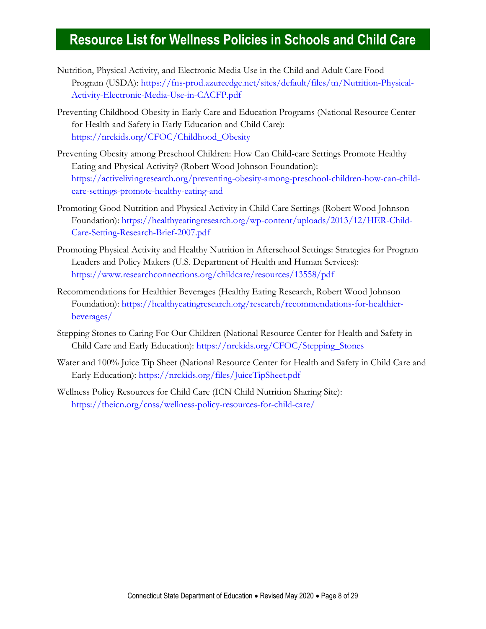- Nutrition, Physical Activity, and Electronic Media Use in the Child and Adult Care Food Program (USDA): [https://fns-prod.azureedge.net/sites/default/files/tn/Nutrition-Physical-](https://fns-prod.azureedge.net/sites/default/files/tn/Nutrition-Physical-Activity-Electronic-Media-Use-in-CACFP.pdf)[Activity-Electronic-Media-Use-in-CACFP.pdf](https://fns-prod.azureedge.net/sites/default/files/tn/Nutrition-Physical-Activity-Electronic-Media-Use-in-CACFP.pdf)
- Preventing Childhood Obesity in Early Care and Education Programs (National Resource Center for Health and Safety in Early Education and Child Care): [https://nrckids.org/CFOC/Childhood\\_Obesity](https://nrckids.org/CFOC/Childhood_Obesity)
- Preventing Obesity among Preschool Children: How Can Child-care Settings Promote Healthy Eating and Physical Activity? (Robert Wood Johnson Foundation): [https://activelivingresearch.org/preventing-obesity-among-preschool-children-how-can-child](https://activelivingresearch.org/preventing-obesity-among-preschool-children-how-can-child-care-settings-promote-healthy-eating-and)[care-settings-promote-healthy-eating-and](https://activelivingresearch.org/preventing-obesity-among-preschool-children-how-can-child-care-settings-promote-healthy-eating-and)
- Promoting Good Nutrition and Physical Activity in Child Care Settings (Robert Wood Johnson Foundation): [https://healthyeatingresearch.org/wp-content/uploads/2013/12/HER-Child-](https://healthyeatingresearch.org/wp-content/uploads/2013/12/HER-Child-Care-Setting-Research-Brief-2007.pdf)[Care-Setting-Research-Brief-2007.pdf](https://healthyeatingresearch.org/wp-content/uploads/2013/12/HER-Child-Care-Setting-Research-Brief-2007.pdf)
- Promoting Physical Activity and Healthy Nutrition in Afterschool Settings: Strategies for Program Leaders and Policy Makers (U.S. Department of Health and Human Services): <https://www.researchconnections.org/childcare/resources/13558/pdf>
- Recommendations for Healthier Beverages (Healthy Eating Research, Robert Wood Johnson Foundation): [https://healthyeatingresearch.org/research/recommendations-for-healthier](https://healthyeatingresearch.org/research/recommendations-for-healthier-beverages/)[beverages/](https://healthyeatingresearch.org/research/recommendations-for-healthier-beverages/)
- Stepping Stones to Caring For Our Children (National Resource Center for Health and Safety in Child Care and Early Education): [https://nrckids.org/CFOC/Stepping\\_Stones](https://nrckids.org/CFOC/Stepping_Stones)
- Water and 100% Juice Tip Sheet (National Resource Center for Health and Safety in Child Care and Early Education):<https://nrckids.org/files/JuiceTipSheet.pdf>
- <span id="page-7-0"></span>Wellness Policy Resources for Child Care (ICN Child Nutrition Sharing Site): <https://theicn.org/cnss/wellness-policy-resources-for-child-care/>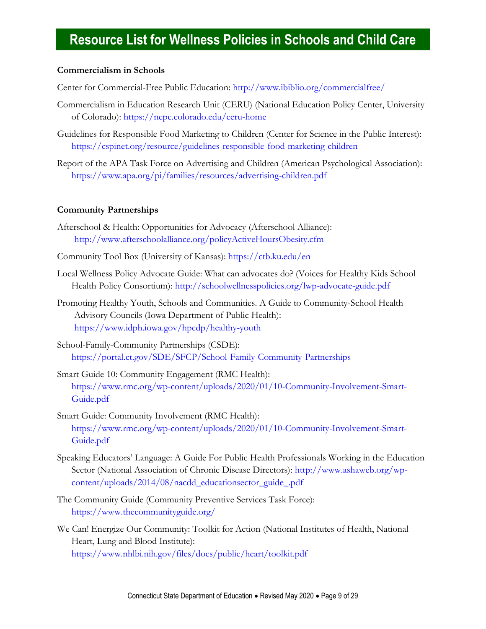### **Commercialism in Schools**

Center for Commercial-Free Public Education:<http://www.ibiblio.org/commercialfree/>

- Commercialism in Education Research Unit (CERU) (National Education Policy Center, University of Colorado):<https://nepc.colorado.edu/ceru-home>
- Guidelines for Responsible Food Marketing to Children (Center for Science in the Public Interest): <https://cspinet.org/resource/guidelines-responsible-food-marketing-children>
- Report of the APA Task Force on Advertising and Children (American Psychological Association): <https://www.apa.org/pi/families/resources/advertising-children.pdf>

#### <span id="page-8-0"></span>**Community Partnerships**

- Afterschool & Health: Opportunities for Advocacy (Afterschool Alliance): <http://www.afterschoolalliance.org/policyActiveHoursObesity.cfm>
- Community Tool Box (University of Kansas):<https://ctb.ku.edu/en>
- Local Wellness Policy Advocate Guide: What can advocates do? (Voices for Healthy Kids School Health Policy Consortium):<http://schoolwellnesspolicies.org/lwp-advocate-guide.pdf>
- Promoting Healthy Youth, Schools and Communities. A Guide to Community-School Health Advisory Councils (Iowa Department of Public Health): <https://www.idph.iowa.gov/hpcdp/healthy-youth>
- School-Family-Community Partnerships (CSDE): <https://portal.ct.gov/SDE/SFCP/School-Family-Community-Partnerships>
- Smart Guide 10: Community Engagement (RMC Health): [https://www.rmc.org/wp-content/uploads/2020/01/10-Community-Involvement-Smart-](https://www.rmc.org/wp-content/uploads/2020/01/10-Community-Involvement-Smart-Guide.pdf)[Guide.pdf](https://www.rmc.org/wp-content/uploads/2020/01/10-Community-Involvement-Smart-Guide.pdf)
- Smart Guide: Community Involvement (RMC Health): [https://www.rmc.org/wp-content/uploads/2020/01/10-Community-Involvement-Smart-](https://www.rmc.org/wp-content/uploads/2020/01/10-Community-Involvement-Smart-Guide.pdf)[Guide.pdf](https://www.rmc.org/wp-content/uploads/2020/01/10-Community-Involvement-Smart-Guide.pdf)
- Speaking Educators' Language: A Guide For Public Health Professionals Working in the Education Sector (National Association of Chronic Disease Directors): [http://www.ashaweb.org/wp](http://www.ashaweb.org/wp-content/uploads/2014/08/nacdd_educationsector_guide_.pdf)[content/uploads/2014/08/nacdd\\_educationsector\\_guide\\_.pdf](http://www.ashaweb.org/wp-content/uploads/2014/08/nacdd_educationsector_guide_.pdf)
- The Community Guide (Community Preventive Services Task Force): <https://www.thecommunityguide.org/>
- <span id="page-8-1"></span>We Can! Energize Our Community: Toolkit for Action (National Institutes of Health, National Heart, Lung and Blood Institute): <https://www.nhlbi.nih.gov/files/docs/public/heart/toolkit.pdf>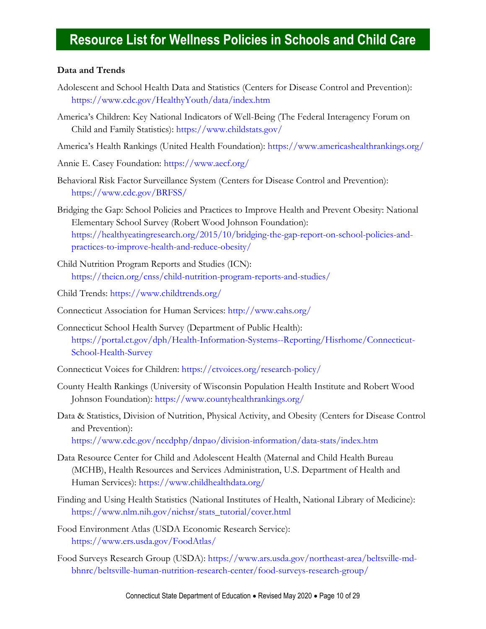### **Data and Trends**

- Adolescent and School Health Data and Statistics (Centers for Disease Control and Prevention): <https://www.cdc.gov/HealthyYouth/data/index.htm>
- America's Children: Key National Indicators of Well-Being (The Federal Interagency Forum on Child and Family Statistics):<https://www.childstats.gov/>
- America's Health Rankings (United Health Foundation):<https://www.americashealthrankings.org/>
- Annie E. Casey Foundation:<https://www.aecf.org/>
- Behavioral Risk Factor Surveillance System (Centers for Disease Control and Prevention): <https://www.cdc.gov/BRFSS/>
- Bridging the Gap: School Policies and Practices to Improve Health and Prevent Obesity: National Elementary School Survey (Robert Wood Johnson Foundation): [https://healthyeatingresearch.org/2015/10/bridging-the-gap-report-on-school-policies-and](https://healthyeatingresearch.org/2015/10/bridging-the-gap-report-on-school-policies-and-practices-to-improve-health-and-reduce-obesity/)[practices-to-improve-health-and-reduce-obesity/](https://healthyeatingresearch.org/2015/10/bridging-the-gap-report-on-school-policies-and-practices-to-improve-health-and-reduce-obesity/)
- Child Nutrition Program Reports and Studies (ICN): <https://theicn.org/cnss/child-nutrition-program-reports-and-studies/>

Child Trends:<https://www.childtrends.org/>

- Connecticut Association for Human Services:<http://www.cahs.org/>
- Connecticut School Health Survey (Department of Public Health): [https://portal.ct.gov/dph/Health-Information-Systems--Reporting/Hisrhome/Connecticut-](https://portal.ct.gov/dph/Health-Information-Systems--Reporting/Hisrhome/Connecticut-School-Health-Survey)[School-Health-Survey](https://portal.ct.gov/dph/Health-Information-Systems--Reporting/Hisrhome/Connecticut-School-Health-Survey)
- Connecticut Voices for Children:<https://ctvoices.org/research-policy/>
- County Health Rankings (University of Wisconsin Population Health Institute and Robert Wood Johnson Foundation):<https://www.countyhealthrankings.org/>
- Data & Statistics, Division of Nutrition, Physical Activity, and Obesity (Centers for Disease Control and Prevention):

<https://www.cdc.gov/nccdphp/dnpao/division-information/data-stats/index.htm>

- Data Resource Center for Child and Adolescent Health (Maternal and Child Health Bureau (MCHB), Health Resources and Services Administration, U.S. Department of Health and Human Services):<https://www.childhealthdata.org/>
- Finding and Using Health Statistics (National Institutes of Health, National Library of Medicine): [https://www.nlm.nih.gov/nichsr/stats\\_tutorial/cover.html](https://www.nlm.nih.gov/nichsr/stats_tutorial/cover.html)
- Food Environment Atlas (USDA Economic Research Service): <https://www.ers.usda.gov/FoodAtlas/>
- Food Surveys Research Group (USDA): [https://www.ars.usda.gov/northeast-area/beltsville-md](https://www.ars.usda.gov/northeast-area/beltsville-md-bhnrc/beltsville-human-nutrition-research-center/food-surveys-research-group/)[bhnrc/beltsville-human-nutrition-research-center/food-surveys-research-group/](https://www.ars.usda.gov/northeast-area/beltsville-md-bhnrc/beltsville-human-nutrition-research-center/food-surveys-research-group/)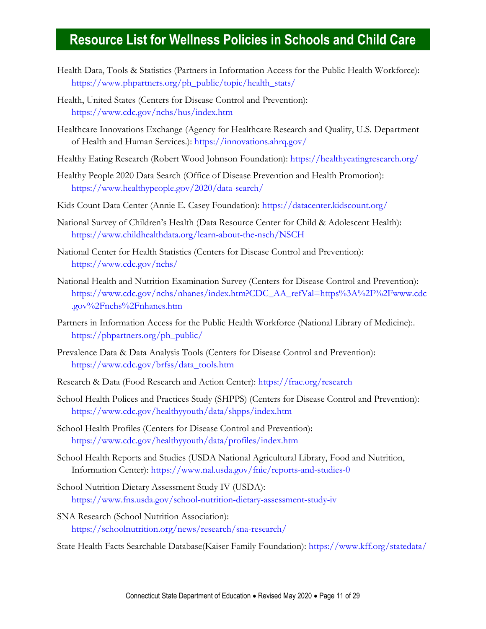- Health Data, Tools & Statistics (Partners in Information Access for the Public Health Workforce): [https://www.phpartners.org/ph\\_public/topic/health\\_stats/](https://www.phpartners.org/ph_public/topic/health_stats/)
- Health, United States (Centers for Disease Control and Prevention): <https://www.cdc.gov/nchs/hus/index.htm>
- Healthcare Innovations Exchange (Agency for Healthcare Research and Quality, U.S. Department of Health and Human Services.):<https://innovations.ahrq.gov/>
- Healthy Eating Research (Robert Wood Johnson Foundation):<https://healthyeatingresearch.org/>
- Healthy People 2020 Data Search (Office of Disease Prevention and Health Promotion): <https://www.healthypeople.gov/2020/data-search/>
- Kids Count Data Center (Annie E. Casey Foundation):<https://datacenter.kidscount.org/>
- National Survey of Children's Health (Data Resource Center for Child & Adolescent Health): <https://www.childhealthdata.org/learn-about-the-nsch/NSCH>
- National Center for Health Statistics (Centers for Disease Control and Prevention): <https://www.cdc.gov/nchs/>
- National Health and Nutrition Examination Survey (Centers for Disease Control and Prevention): [https://www.cdc.gov/nchs/nhanes/index.htm?CDC\\_AA\\_refVal=https%3A%2F%2Fwww.cdc](https://www.cdc.gov/nchs/nhanes/index.htm?CDC_AA_refVal=https%3A%2F%2Fwww.cdc.gov%2Fnchs%2Fnhanes.htm) [.gov%2Fnchs%2Fnhanes.htm](https://www.cdc.gov/nchs/nhanes/index.htm?CDC_AA_refVal=https%3A%2F%2Fwww.cdc.gov%2Fnchs%2Fnhanes.htm)
- Partners in Information Access for the Public Health Workforce (National Library of Medicine):. [https://phpartners.org/ph\\_public/](https://phpartners.org/ph_public/)
- Prevalence Data & Data Analysis Tools (Centers for Disease Control and Prevention): [https://www.cdc.gov/brfss/data\\_tools.htm](https://www.cdc.gov/brfss/data_tools.htm)
- Research & Data (Food Research and Action Center):<https://frac.org/research>
- School Health Polices and Practices Study (SHPPS) (Centers for Disease Control and Prevention): <https://www.cdc.gov/healthyyouth/data/shpps/index.htm>
- School Health Profiles (Centers for Disease Control and Prevention): <https://www.cdc.gov/healthyyouth/data/profiles/index.htm>
- School Health Reports and Studies (USDA National Agricultural Library, Food and Nutrition, Information Center):<https://www.nal.usda.gov/fnic/reports-and-studies-0>
- School Nutrition Dietary Assessment Study IV (USDA): <https://www.fns.usda.gov/school-nutrition-dietary-assessment-study-iv>
- SNA Research (School Nutrition Association): <https://schoolnutrition.org/news/research/sna-research/>

State Health Facts Searchable Database(Kaiser Family Foundation):<https://www.kff.org/statedata/>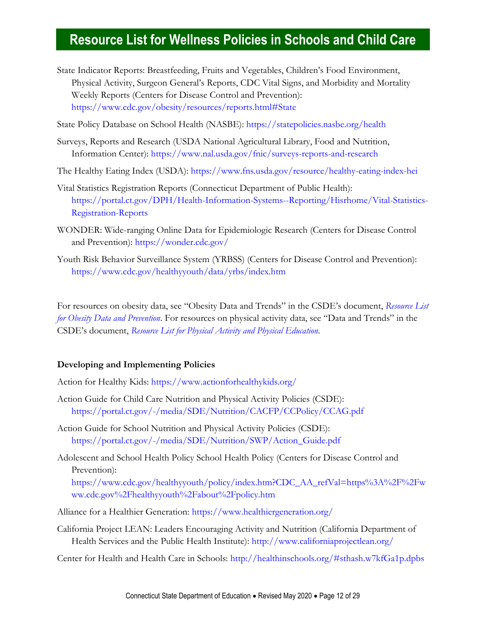- State Indicator Reports: Breastfeeding, Fruits and Vegetables, Children's Food Environment, Physical Activity, Surgeon General's Reports, CDC Vital Signs, and Morbidity and Mortality Weekly Reports (Centers for Disease Control and Prevention): <https://www.cdc.gov/obesity/resources/reports.html#State>
- State Policy Database on School Health (NASBE):<https://statepolicies.nasbe.org/health>
- Surveys, Reports and Research (USDA National Agricultural Library, Food and Nutrition, Information Center):<https://www.nal.usda.gov/fnic/surveys-reports-and-research>
- The Healthy Eating Index (USDA):<https://www.fns.usda.gov/resource/healthy-eating-index-hei>
- Vital Statistics Registration Reports (Connecticut Department of Public Health): [https://portal.ct.gov/DPH/Health-Information-Systems--Reporting/Hisrhome/Vital-Statistics-](https://portal.ct.gov/DPH/Health-Information-Systems--Reporting/Hisrhome/Vital-Statistics-Registration-Reports)[Registration-Reports](https://portal.ct.gov/DPH/Health-Information-Systems--Reporting/Hisrhome/Vital-Statistics-Registration-Reports)
- WONDER: Wide-ranging Online Data for Epidemiologic Research (Centers for Disease Control and Prevention):<https://wonder.cdc.gov/>
- <span id="page-11-0"></span>Youth Risk Behavior Surveillance System (YRBSS) (Centers for Disease Control and Prevention): <https://www.cdc.gov/healthyyouth/data/yrbs/index.htm>

For resources on obesity data, see "Obesity Data and Trends" in the CSDE's document, *[Resource List](https://portal.ct.gov/-/media/SDE/Nutrition/Resources/ResourcesHealthyWeight.pdf)  [for Obesity Data and Prevention](https://portal.ct.gov/-/media/SDE/Nutrition/Resources/ResourcesHealthyWeight.pdf)*. For resources on physical activity data, see "Data and Trends" in the CSDE's document, *[Resource List for Physical Activity and Physical Education](https://portal.ct.gov/-/media/SDE/Nutrition/Resources/ResourcesPhysicalActivity.pdf)*.

### **Developing and Implementing Policies**

- Action for Healthy Kids:<https://www.actionforhealthykids.org/>
- Action Guide for Child Care Nutrition and Physical Activity Policies (CSDE): <https://portal.ct.gov/-/media/SDE/Nutrition/CACFP/CCPolicy/CCAG.pdf>
- Action Guide for School Nutrition and Physical Activity Policies (CSDE): [https://portal.ct.gov/-/media/SDE/Nutrition/SWP/Action\\_Guide.pdf](https://portal.ct.gov/-/media/SDE/Nutrition/SWP/Action_Guide.pdf)
- Adolescent and School Health Policy School Health Policy (Centers for Disease Control and Prevention):

[https://www.cdc.gov/healthyyouth/policy/index.htm?CDC\\_AA\\_refVal=https%3A%2F%2Fw](https://www.cdc.gov/healthyyouth/policy/index.htm?CDC_AA_refVal=https%3A%2F%2Fwww.cdc.gov%2Fhealthyyouth%2Fabout%2Fpolicy.htm) [ww.cdc.gov%2Fhealthyyouth%2Fabout%2Fpolicy.htm](https://www.cdc.gov/healthyyouth/policy/index.htm?CDC_AA_refVal=https%3A%2F%2Fwww.cdc.gov%2Fhealthyyouth%2Fabout%2Fpolicy.htm)

- Alliance for a Healthier Generation:<https://www.healthiergeneration.org/>
- California Project LEAN: Leaders Encouraging Activity and Nutrition (California Department of Health Services and the Public Health Institute):<http://www.californiaprojectlean.org/>
- Center for Health and Health Care in Schools:<http://healthinschools.org/#sthash.w7kfGa1p.dpbs>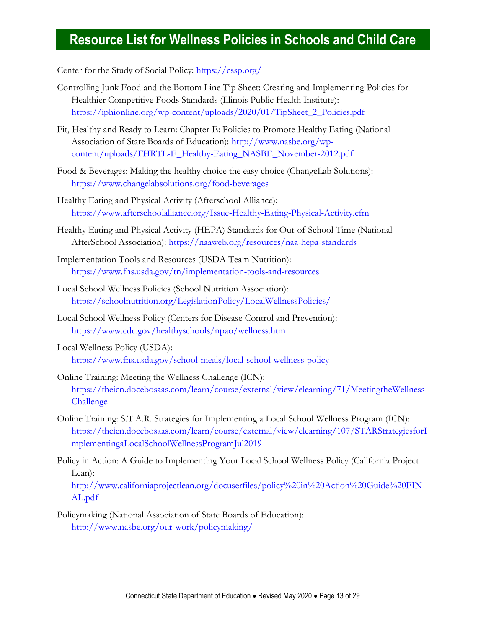Center for the Study of Social Policy:<https://cssp.org/>

- Controlling Junk Food and the Bottom Line Tip Sheet: Creating and Implementing Policies for Healthier Competitive Foods Standards (Illinois Public Health Institute): [https://iphionline.org/wp-content/uploads/2020/01/TipSheet\\_2\\_Policies.pdf](https://iphionline.org/wp-content/uploads/2020/01/TipSheet_2_Policies.pdf)
- Fit, Healthy and Ready to Learn: Chapter E: Policies to Promote Healthy Eating (National Association of State Boards of Education): [http://www.nasbe.org/wp](http://www.nasbe.org/wp-content/uploads/FHRTL-E_Healthy-Eating_NASBE_November-2012.pdf)[content/uploads/FHRTL-E\\_Healthy-Eating\\_NASBE\\_November-2012.pdf](http://www.nasbe.org/wp-content/uploads/FHRTL-E_Healthy-Eating_NASBE_November-2012.pdf)
- Food & Beverages: Making the healthy choice the easy choice (ChangeLab Solutions): <https://www.changelabsolutions.org/food-beverages>
- Healthy Eating and Physical Activity (Afterschool Alliance): <https://www.afterschoolalliance.org/Issue-Healthy-Eating-Physical-Activity.cfm>
- Healthy Eating and Physical Activity (HEPA) Standards for Out-of-School Time (National AfterSchool Association): <https://naaweb.org/resources/naa-hepa-standards>
- Implementation Tools and Resources (USDA Team Nutrition): <https://www.fns.usda.gov/tn/implementation-tools-and-resources>
- Local School Wellness Policies (School Nutrition Association): <https://schoolnutrition.org/LegislationPolicy/LocalWellnessPolicies/>
- Local School Wellness Policy (Centers for Disease Control and Prevention): <https://www.cdc.gov/healthyschools/npao/wellness.htm>
- Local Wellness Policy (USDA): <https://www.fns.usda.gov/school-meals/local-school-wellness-policy>
- Online Training: Meeting the Wellness Challenge (ICN): [https://theicn.docebosaas.com/learn/course/external/view/elearning/71/MeetingtheWellness](https://theicn.docebosaas.com/learn/course/external/view/elearning/71/MeetingtheWellnessChallenge) [Challenge](https://theicn.docebosaas.com/learn/course/external/view/elearning/71/MeetingtheWellnessChallenge)
- Online Training: S.T.A.R. Strategies for Implementing a Local School Wellness Program (ICN): [https://theicn.docebosaas.com/learn/course/external/view/elearning/107/STARStrategiesforI](https://theicn.docebosaas.com/learn/course/external/view/elearning/107/STARStrategiesforImplementingaLocalSchoolWellnessProgramJul2019) [mplementingaLocalSchoolWellnessProgramJul2019](https://theicn.docebosaas.com/learn/course/external/view/elearning/107/STARStrategiesforImplementingaLocalSchoolWellnessProgramJul2019)
- Policy in Action: A Guide to Implementing Your Local School Wellness Policy (California Project Lean):

[http://www.californiaprojectlean.org/docuserfiles/policy%20in%20Action%20Guide%20FIN](http://www.californiaprojectlean.org/docuserfiles/policy%20in%20Action%20Guide%20FINAL.pdf) [AL.pdf](http://www.californiaprojectlean.org/docuserfiles/policy%20in%20Action%20Guide%20FINAL.pdf)

Policymaking (National Association of State Boards of Education): <http://www.nasbe.org/our-work/policymaking/>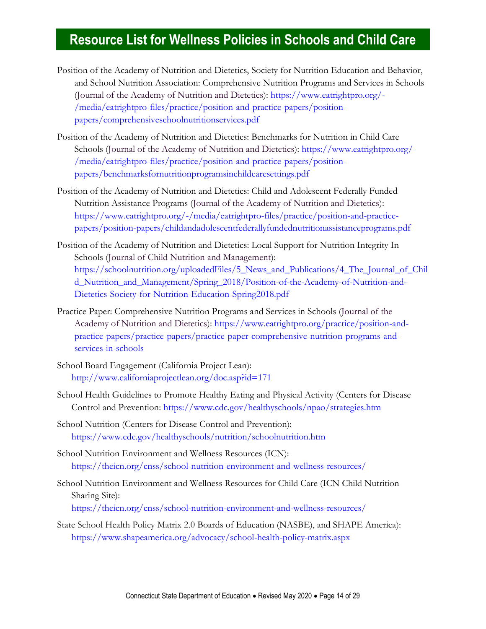- Position of the Academy of Nutrition and Dietetics, Society for Nutrition Education and Behavior, and School Nutrition Association: Comprehensive Nutrition Programs and Services in Schools (Journal of the Academy of Nutrition and Dietetics): [https://www.eatrightpro.org/-](https://www.eatrightpro.org/-/media/eatrightpro-files/practice/position-and-practice-papers/position-papers/comprehensiveschoolnutritionservices.pdf) [/media/eatrightpro-files/practice/position-and-practice-papers/position](https://www.eatrightpro.org/-/media/eatrightpro-files/practice/position-and-practice-papers/position-papers/comprehensiveschoolnutritionservices.pdf)[papers/comprehensiveschoolnutritionservices.pdf](https://www.eatrightpro.org/-/media/eatrightpro-files/practice/position-and-practice-papers/position-papers/comprehensiveschoolnutritionservices.pdf)
- Position of the Academy of Nutrition and Dietetics: Benchmarks for Nutrition in Child Care Schools (Journal of the Academy of Nutrition and Dietetics): [https://www.eatrightpro.org/-](https://www.eatrightpro.org/-/media/eatrightpro-files/practice/position-and-practice-papers/position-papers/benchmarksfornutritionprogramsinchildcaresettings.pdf) [/media/eatrightpro-files/practice/position-and-practice-papers/position](https://www.eatrightpro.org/-/media/eatrightpro-files/practice/position-and-practice-papers/position-papers/benchmarksfornutritionprogramsinchildcaresettings.pdf)[papers/benchmarksfornutritionprogramsinchildcaresettings.pdf](https://www.eatrightpro.org/-/media/eatrightpro-files/practice/position-and-practice-papers/position-papers/benchmarksfornutritionprogramsinchildcaresettings.pdf)
- Position of the Academy of Nutrition and Dietetics: Child and Adolescent Federally Funded Nutrition Assistance Programs (Journal of the Academy of Nutrition and Dietetics): [https://www.eatrightpro.org/-/media/eatrightpro-files/practice/position-and-practice](https://www.eatrightpro.org/-/media/eatrightpro-files/practice/position-and-practice-papers/position-papers/childandadolescentfederallyfundednutritionassistanceprograms.pdf)[papers/position-papers/childandadolescentfederallyfundednutritionassistanceprograms.pdf](https://www.eatrightpro.org/-/media/eatrightpro-files/practice/position-and-practice-papers/position-papers/childandadolescentfederallyfundednutritionassistanceprograms.pdf)
- Position of the Academy of Nutrition and Dietetics: Local Support for Nutrition Integrity In Schools (Journal of Child Nutrition and Management): [https://schoolnutrition.org/uploadedFiles/5\\_News\\_and\\_Publications/4\\_The\\_Journal\\_of\\_Chil](https://schoolnutrition.org/uploadedFiles/5_News_and_Publications/4_The_Journal_of_Child_Nutrition_and_Management/Spring_2018/Position-of-the-Academy-of-Nutrition-and-Dietetics-Society-for-Nutrition-Education-Spring2018.pdf) [d\\_Nutrition\\_and\\_Management/Spring\\_2018/Position-of-the-Academy-of-Nutrition-and-](https://schoolnutrition.org/uploadedFiles/5_News_and_Publications/4_The_Journal_of_Child_Nutrition_and_Management/Spring_2018/Position-of-the-Academy-of-Nutrition-and-Dietetics-Society-for-Nutrition-Education-Spring2018.pdf)[Dietetics-Society-for-Nutrition-Education-Spring2018.pdf](https://schoolnutrition.org/uploadedFiles/5_News_and_Publications/4_The_Journal_of_Child_Nutrition_and_Management/Spring_2018/Position-of-the-Academy-of-Nutrition-and-Dietetics-Society-for-Nutrition-Education-Spring2018.pdf)
- Practice Paper: Comprehensive Nutrition Programs and Services in Schools (Journal of the Academy of Nutrition and Dietetics): [https://www.eatrightpro.org/practice/position-and](https://www.eatrightpro.org/practice/position-and-practice-papers/practice-papers/practice-paper-comprehensive-nutrition-programs-and-services-in-schools)[practice-papers/practice-papers/practice-paper-comprehensive-nutrition-programs-and](https://www.eatrightpro.org/practice/position-and-practice-papers/practice-papers/practice-paper-comprehensive-nutrition-programs-and-services-in-schools)[services-in-schools](https://www.eatrightpro.org/practice/position-and-practice-papers/practice-papers/practice-paper-comprehensive-nutrition-programs-and-services-in-schools)
- School Board Engagement (California Project Lean): <http://www.californiaprojectlean.org/doc.asp?id=171>
- School Health Guidelines to Promote Healthy Eating and Physical Activity (Centers for Disease Control and Prevention: <https://www.cdc.gov/healthyschools/npao/strategies.htm>
- School Nutrition (Centers for Disease Control and Prevention): <https://www.cdc.gov/healthyschools/nutrition/schoolnutrition.htm>
- School Nutrition Environment and Wellness Resources (ICN): <https://theicn.org/cnss/school-nutrition-environment-and-wellness-resources/>

School Nutrition Environment and Wellness Resources for Child Care (ICN Child Nutrition Sharing Site): <https://theicn.org/cnss/school-nutrition-environment-and-wellness-resources/>

State School Health Policy Matrix 2.0 Boards of Education (NASBE), and SHAPE America): <https://www.shapeamerica.org/advocacy/school-health-policy-matrix.aspx>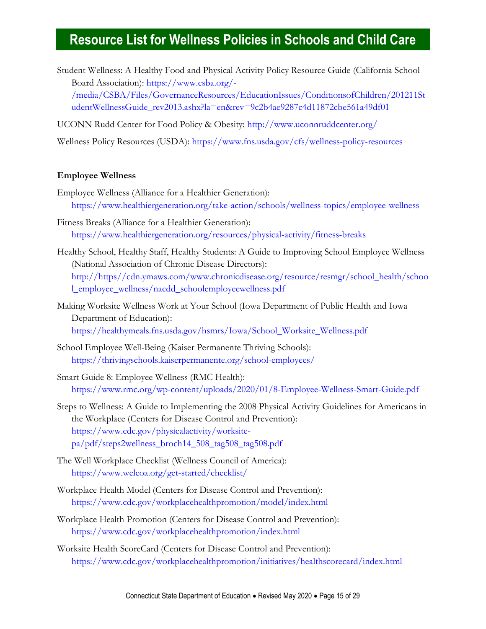Student Wellness: A Healthy Food and Physical Activity Policy Resource Guide (California School Board Association): [https://www.csba.org/-](https://www.csba.org/-/media/CSBA/Files/GovernanceResources/EducationIssues/ConditionsofChildren/201211StudentWellnessGuide_rev2013.ashx?la=en&rev=9c2b4ae9287c4d11872cbe561a49df01)

[/media/CSBA/Files/GovernanceResources/EducationIssues/ConditionsofChildren/201211St](https://www.csba.org/-/media/CSBA/Files/GovernanceResources/EducationIssues/ConditionsofChildren/201211StudentWellnessGuide_rev2013.ashx?la=en&rev=9c2b4ae9287c4d11872cbe561a49df01) [udentWellnessGuide\\_rev2013.ashx?la=en&rev=9c2b4ae9287c4d11872cbe561a49df01](https://www.csba.org/-/media/CSBA/Files/GovernanceResources/EducationIssues/ConditionsofChildren/201211StudentWellnessGuide_rev2013.ashx?la=en&rev=9c2b4ae9287c4d11872cbe561a49df01)

UCONN Rudd Center for Food Policy & Obesity:<http://www.uconnruddcenter.org/>

Wellness Policy Resources (USDA):<https://www.fns.usda.gov/cfs/wellness-policy-resources>

#### <span id="page-14-0"></span>**Employee Wellness**

- Employee Wellness (Alliance for a Healthier Generation): <https://www.healthiergeneration.org/take-action/schools/wellness-topics/employee-wellness>
- Fitness Breaks (Alliance for a Healthier Generation): <https://www.healthiergeneration.org/resources/physical-activity/fitness-breaks>
- Healthy School, Healthy Staff, Healthy Students: A Guide to Improving School Employee Wellness (National Association of Chronic Disease Directors): [http://https//cdn.ymaws.com/www.chronicdisease.org/resource/resmgr/school\\_health/schoo](http://https/cdn.ymaws.com/www.chronicdisease.org/resource/resmgr/school_health/school_employee_wellness/nacdd_schoolemployeewellness.pdf) [l\\_employee\\_wellness/nacdd\\_schoolemployeewellness.pdf](http://https/cdn.ymaws.com/www.chronicdisease.org/resource/resmgr/school_health/school_employee_wellness/nacdd_schoolemployeewellness.pdf)
- Making Worksite Wellness Work at Your School (Iowa Department of Public Health and Iowa Department of Education): [https://healthymeals.fns.usda.gov/hsmrs/Iowa/School\\_Worksite\\_Wellness.pdf](https://healthymeals.fns.usda.gov/hsmrs/Iowa/School_Worksite_Wellness.pdf)
- School Employee Well-Being (Kaiser Permanente Thriving Schools): <https://thrivingschools.kaiserpermanente.org/school-employees/>
- Smart Guide 8: Employee Wellness (RMC Health): <https://www.rmc.org/wp-content/uploads/2020/01/8-Employee-Wellness-Smart-Guide.pdf>
- Steps to Wellness: A Guide to Implementing the 2008 Physical Activity Guidelines for Americans in the Workplace (Centers for Disease Control and Prevention): [https://www.cdc.gov/physicalactivity/worksite](https://www.cdc.gov/physicalactivity/worksite-pa/pdf/steps2wellness_broch14_508_tag508_tag508.pdf)[pa/pdf/steps2wellness\\_broch14\\_508\\_tag508\\_tag508.pdf](https://www.cdc.gov/physicalactivity/worksite-pa/pdf/steps2wellness_broch14_508_tag508_tag508.pdf)
- The Well Workplace Checklist (Wellness Council of America): <https://www.welcoa.org/get-started/checklist/>
- Workplace Health Model (Centers for Disease Control and Prevention): <https://www.cdc.gov/workplacehealthpromotion/model/index.html>
- Workplace Health Promotion (Centers for Disease Control and Prevention): <https://www.cdc.gov/workplacehealthpromotion/index.html>
- Worksite Health ScoreCard (Centers for Disease Control and Prevention): <https://www.cdc.gov/workplacehealthpromotion/initiatives/healthscorecard/index.html>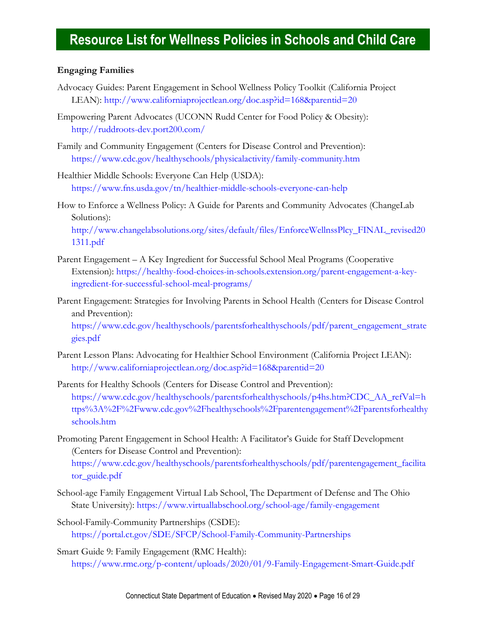### **Engaging Families**

- Advocacy Guides: Parent Engagement in School Wellness Policy Toolkit (California Project LEAN):<http://www.californiaprojectlean.org/doc.asp?id=168&parentid=20>
- Empowering Parent Advocates (UCONN Rudd Center for Food Policy & Obesity): <http://ruddroots-dev.port200.com/>
- Family and Community Engagement (Centers for Disease Control and Prevention): <https://www.cdc.gov/healthyschools/physicalactivity/family-community.htm>
- Healthier Middle Schools: Everyone Can Help (USDA): <https://www.fns.usda.gov/tn/healthier-middle-schools-everyone-can-help>
- How to Enforce a Wellness Policy: A Guide for Parents and Community Advocates (ChangeLab Solutions):

[http://www.changelabsolutions.org/sites/default/files/EnforceWellnssPlcy\\_FINAL\\_revised20](http://www.changelabsolutions.org/sites/default/files/EnforceWellnssPlcy_FINAL_revised201311.pdf) [1311.pdf](http://www.changelabsolutions.org/sites/default/files/EnforceWellnssPlcy_FINAL_revised201311.pdf)

- Parent Engagement A Key Ingredient for Successful School Meal Programs (Cooperative Extension): [https://healthy-food-choices-in-schools.extension.org/parent-engagement-a-key](https://healthy-food-choices-in-schools.extension.org/parent-engagement-a-key-ingredient-for-successful-school-meal-programs/)[ingredient-for-successful-school-meal-programs/](https://healthy-food-choices-in-schools.extension.org/parent-engagement-a-key-ingredient-for-successful-school-meal-programs/)
- Parent Engagement: Strategies for Involving Parents in School Health (Centers for Disease Control and Prevention):

[https://www.cdc.gov/healthyschools/parentsforhealthyschools/pdf/parent\\_engagement\\_strate](https://www.cdc.gov/healthyschools/parentsforhealthyschools/pdf/parent_engagement_strategies.pdf) [gies.pdf](https://www.cdc.gov/healthyschools/parentsforhealthyschools/pdf/parent_engagement_strategies.pdf)

- Parent Lesson Plans: Advocating for Healthier School Environment (California Project LEAN): <http://www.californiaprojectlean.org/doc.asp?id=168&parentid=20>
- Parents for Healthy Schools (Centers for Disease Control and Prevention): [https://www.cdc.gov/healthyschools/parentsforhealthyschools/p4hs.htm?CDC\\_AA\\_refVal=h](https://www.cdc.gov/healthyschools/parentsforhealthyschools/p4hs.htm?CDC_AA_refVal=https%3A%2F%2Fwww.cdc.gov%2Fhealthyschools%2Fparentengagement%2Fparentsforhealthyschools.htm) [ttps%3A%2F%2Fwww.cdc.gov%2Fhealthyschools%2Fparentengagement%2Fparentsforhealthy](https://www.cdc.gov/healthyschools/parentsforhealthyschools/p4hs.htm?CDC_AA_refVal=https%3A%2F%2Fwww.cdc.gov%2Fhealthyschools%2Fparentengagement%2Fparentsforhealthyschools.htm) [schools.htm](https://www.cdc.gov/healthyschools/parentsforhealthyschools/p4hs.htm?CDC_AA_refVal=https%3A%2F%2Fwww.cdc.gov%2Fhealthyschools%2Fparentengagement%2Fparentsforhealthyschools.htm)
- Promoting Parent Engagement in School Health: A Facilitator's Guide for Staff Development (Centers for Disease Control and Prevention): [https://www.cdc.gov/healthyschools/parentsforhealthyschools/pdf/parentengagement\\_facilita](https://www.cdc.gov/healthyschools/parentsforhealthyschools/pdf/parentengagement_facilitator_guide.pdf)

[tor\\_guide.pdf](https://www.cdc.gov/healthyschools/parentsforhealthyschools/pdf/parentengagement_facilitator_guide.pdf)

- School-age Family Engagement Virtual Lab School, The Department of Defense and The Ohio State University):<https://www.virtuallabschool.org/school-age/family-engagement>
- School-Family-Community Partnerships (CSDE): <https://portal.ct.gov/SDE/SFCP/School-Family-Community-Partnerships>
- <span id="page-15-0"></span>Smart Guide 9: Family Engagement (RMC Health): [https://www.rmc.org/p-content/uploads/2020/01/9-Family-Engagement-Smart-Guide.pdf](https://www.rmc.org/wp-content/uploads/2020/01/9-Family-Engagement-Smart-Guide.pdf)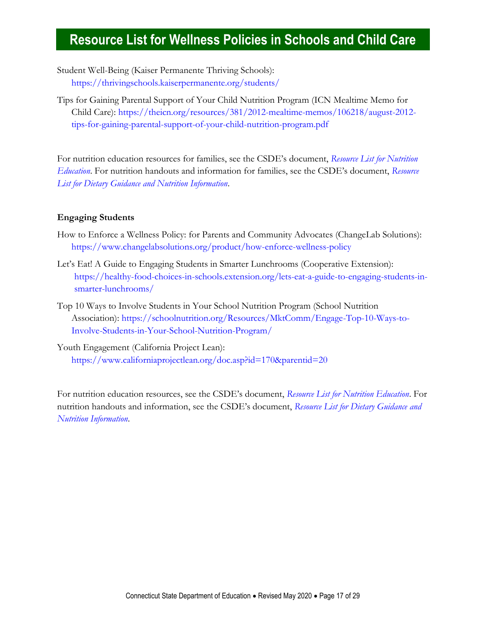Student Well-Being (Kaiser Permanente Thriving Schools): <https://thrivingschools.kaiserpermanente.org/students/>

Tips for Gaining Parental Support of Your Child Nutrition Program (ICN Mealtime Memo for Child Care): [https://theicn.org/resources/381/2012-mealtime-memos/106218/august-2012](https://theicn.org/resources/381/2012-mealtime-memos/106218/august-2012-tips-for-gaining-parental-support-of-your-child-nutrition-program.pdf) [tips-for-gaining-parental-support-of-your-child-nutrition-program.pdf](https://theicn.org/resources/381/2012-mealtime-memos/106218/august-2012-tips-for-gaining-parental-support-of-your-child-nutrition-program.pdf)

For nutrition education resources for families, see the CSDE's document, *[Resource List for Nutrition](https://portal.ct.gov/-/media/SDE/Nutrition/Resources/ResourcesNutritionEducation.pdf)  [Education](https://portal.ct.gov/-/media/SDE/Nutrition/Resources/ResourcesNutritionEducation.pdf)*. For nutrition handouts and information for families, see the CSDE's document, *[Resource](https://portal.ct.gov/-/media/SDE/Nutrition/Resources/ResourcesDietaryGuidelines.pdf)  [List for Dietary Guidance and Nutrition Information](https://portal.ct.gov/-/media/SDE/Nutrition/Resources/ResourcesDietaryGuidelines.pdf)*.

### **Engaging Students**

- How to Enforce a Wellness Policy: for Parents and Community Advocates (ChangeLab Solutions): <https://www.changelabsolutions.org/product/how-enforce-wellness-policy>
- Let's Eat! A Guide to Engaging Students in Smarter Lunchrooms (Cooperative Extension): [https://healthy-food-choices-in-schools.extension.org/lets-eat-a-guide-to-engaging-students-in](https://healthy-food-choices-in-schools.extension.org/lets-eat-a-guide-to-engaging-students-in-smarter-lunchrooms/)[smarter-lunchrooms/](https://healthy-food-choices-in-schools.extension.org/lets-eat-a-guide-to-engaging-students-in-smarter-lunchrooms/)
- Top 10 Ways to Involve Students in Your School Nutrition Program (School Nutrition Association): [https://schoolnutrition.org/Resources/MktComm/Engage-Top-10-Ways-to-](https://schoolnutrition.org/Resources/MktComm/Engage-Top-10-Ways-to-Involve-Students-in-Your-School-Nutrition-Program/)[Involve-Students-in-Your-School-Nutrition-Program/](https://schoolnutrition.org/Resources/MktComm/Engage-Top-10-Ways-to-Involve-Students-in-Your-School-Nutrition-Program/)
- Youth Engagement (California Project Lean): <https://www.californiaprojectlean.org/doc.asp?id=170&parentid=20>

<span id="page-16-0"></span>For nutrition education resources, see the CSDE's document, *[Resource List for Nutrition Education](https://portal.ct.gov/-/media/SDE/Nutrition/Resources/ResourcesNutritionEducation.pdf)*. For nutrition handouts and information, see the CSDE's document, *[Resource List for Dietary Guidance and](https://portal.ct.gov/-/media/SDE/Nutrition/Resources/ResourcesDietaryGuidelines.pdf)  [Nutrition Information](https://portal.ct.gov/-/media/SDE/Nutrition/Resources/ResourcesDietaryGuidelines.pdf)*.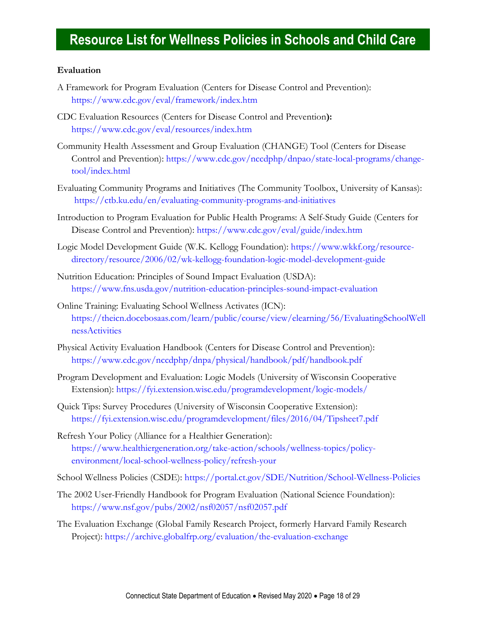#### **Evaluation**

- A Framework for Program Evaluation (Centers for Disease Control and Prevention): <https://www.cdc.gov/eval/framework/index.htm>
- CDC Evaluation Resources (Centers for Disease Control and Prevention**):**  <https://www.cdc.gov/eval/resources/index.htm>
- Community Health Assessment and Group Evaluation (CHANGE) Tool (Centers for Disease Control and Prevention): [https://www.cdc.gov/nccdphp/dnpao/state-local-programs/change](https://www.cdc.gov/nccdphp/dnpao/state-local-programs/change-tool/index.html)[tool/index.html](https://www.cdc.gov/nccdphp/dnpao/state-local-programs/change-tool/index.html)
- Evaluating Community Programs and Initiatives (The Community Toolbox, University of Kansas): <https://ctb.ku.edu/en/evaluating-community-programs-and-initiatives>
- Introduction to Program Evaluation for Public Health Programs: A Self-Study Guide (Centers for Disease Control and Prevention):<https://www.cdc.gov/eval/guide/index.htm>
- Logic Model Development Guide (W.K. Kellogg Foundation): [https://www.wkkf.org/resource](https://www.wkkf.org/resource-directory/resource/2006/02/wk-kellogg-foundation-logic-model-development-guide)[directory/resource/2006/02/wk-kellogg-foundation-logic-model-development-guide](https://www.wkkf.org/resource-directory/resource/2006/02/wk-kellogg-foundation-logic-model-development-guide)
- Nutrition Education: Principles of Sound Impact Evaluation (USDA): <https://www.fns.usda.gov/nutrition-education-principles-sound-impact-evaluation>
- Online Training: Evaluating School Wellness Activates (ICN): [https://theicn.docebosaas.com/learn/public/course/view/elearning/56/EvaluatingSchoolWell](https://theicn.docebosaas.com/learn/public/course/view/elearning/56/EvaluatingSchoolWellnessActivities) [nessActivities](https://theicn.docebosaas.com/learn/public/course/view/elearning/56/EvaluatingSchoolWellnessActivities)
- Physical Activity Evaluation Handbook (Centers for Disease Control and Prevention): <https://www.cdc.gov/nccdphp/dnpa/physical/handbook/pdf/handbook.pdf>
- Program Development and Evaluation: Logic Models (University of Wisconsin Cooperative Extension):<https://fyi.extension.wisc.edu/programdevelopment/logic-models/>
- Quick Tips: Survey Procedures (University of Wisconsin Cooperative Extension): <https://fyi.extension.wisc.edu/programdevelopment/files/2016/04/Tipsheet7.pdf>
- Refresh Your Policy (Alliance for a Healthier Generation): [https://www.healthiergeneration.org/take-action/schools/wellness-topics/policy](https://www.healthiergeneration.org/take-action/schools/wellness-topics/policy-environment/local-school-wellness-policy/refresh-your)[environment/local-school-wellness-policy/refresh-your](https://www.healthiergeneration.org/take-action/schools/wellness-topics/policy-environment/local-school-wellness-policy/refresh-your)
- School Wellness Policies (CSDE):<https://portal.ct.gov/SDE/Nutrition/School-Wellness-Policies>
- The 2002 User-Friendly Handbook for Program Evaluation (National Science Foundation): <https://www.nsf.gov/pubs/2002/nsf02057/nsf02057.pdf>
- <span id="page-17-0"></span>The Evaluation Exchange (Global Family Research Project, formerly Harvard Family Research Project):<https://archive.globalfrp.org/evaluation/the-evaluation-exchange>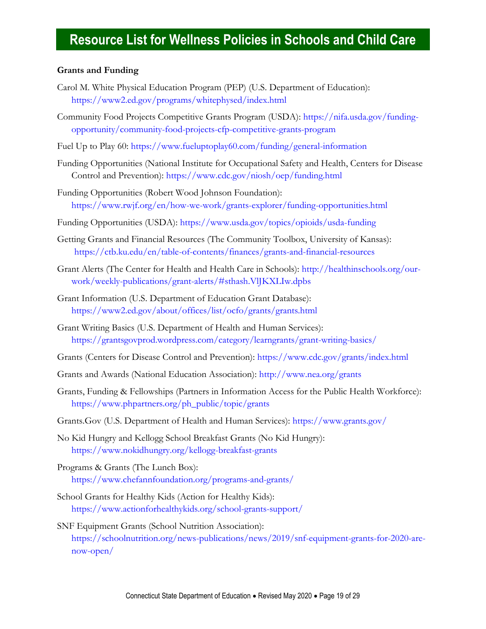#### **Grants and Funding**

- Carol M. White Physical Education Program (PEP) (U.S. Department of Education): <https://www2.ed.gov/programs/whitephysed/index.html>
- Community Food Projects Competitive Grants Program (USDA): [https://nifa.usda.gov/funding](https://nifa.usda.gov/funding-opportunity/community-food-projects-cfp-competitive-grants-program)[opportunity/community-food-projects-cfp-competitive-grants-program](https://nifa.usda.gov/funding-opportunity/community-food-projects-cfp-competitive-grants-program)
- Fuel Up to Play 60:<https://www.fueluptoplay60.com/funding/general-information>
- Funding Opportunities (National Institute for Occupational Safety and Health, Centers for Disease Control and Prevention):<https://www.cdc.gov/niosh/oep/funding.html>
- Funding Opportunities (Robert Wood Johnson Foundation): <https://www.rwjf.org/en/how-we-work/grants-explorer/funding-opportunities.html>
- Funding Opportunities (USDA):<https://www.usda.gov/topics/opioids/usda-funding>
- Getting Grants and Financial Resources (The Community Toolbox, University of Kansas): <https://ctb.ku.edu/en/table-of-contents/finances/grants-and-financial-resources>
- Grant Alerts (The Center for Health and Health Care in Schools): [http://healthinschools.org/our](http://healthinschools.org/our-work/weekly-publications/grant-alerts/#sthash.VlJKXLIw.dpbs)[work/weekly-publications/grant-alerts/#sthash.VlJKXLIw.dpbs](http://healthinschools.org/our-work/weekly-publications/grant-alerts/#sthash.VlJKXLIw.dpbs)
- Grant Information (U.S. Department of Education Grant Database): <https://www2.ed.gov/about/offices/list/ocfo/grants/grants.html>
- Grant Writing Basics (U.S. Department of Health and Human Services): <https://grantsgovprod.wordpress.com/category/learngrants/grant-writing-basics/>
- Grants (Centers for Disease Control and Prevention):<https://www.cdc.gov/grants/index.html>
- Grants and Awards (National Education Association):<http://www.nea.org/grants>
- Grants, Funding & Fellowships (Partners in Information Access for the Public Health Workforce): [https://www.phpartners.org/ph\\_public/topic/grants](https://www.phpartners.org/ph_public/topic/grants)
- Grants.Gov (U.S. Department of Health and Human Services):<https://www.grants.gov/>
- No Kid Hungry and Kellogg School Breakfast Grants (No Kid Hungry): <https://www.nokidhungry.org/kellogg-breakfast-grants>
- Programs & Grants (The Lunch Box): <https://www.chefannfoundation.org/programs-and-grants/>
- School Grants for Healthy Kids (Action for Healthy Kids): <https://www.actionforhealthykids.org/school-grants-support/>
- <span id="page-18-0"></span>SNF Equipment Grants (School Nutrition Association): [https://schoolnutrition.org/news-publications/news/2019/snf-equipment-grants-for-2020-are](https://schoolnutrition.org/news-publications/news/2019/snf-equipment-grants-for-2020-are-now-open/)[now-open/](https://schoolnutrition.org/news-publications/news/2019/snf-equipment-grants-for-2020-are-now-open/)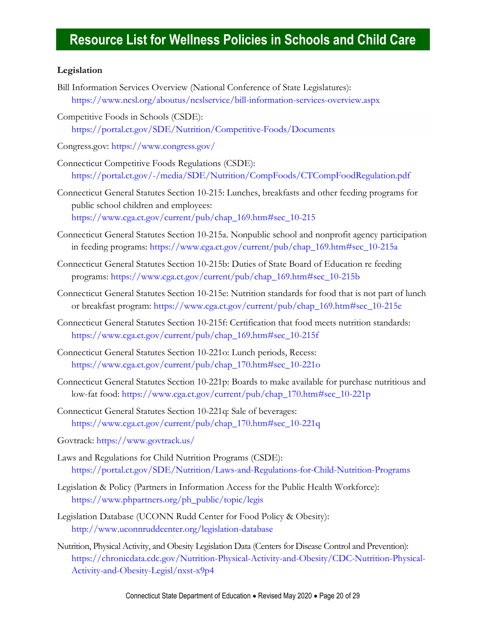### **Legislation**

- Bill Information Services Overview (National Conference of State Legislatures): <https://www.ncsl.org/aboutus/ncslservice/bill-information-services-overview.aspx>
- Competitive Foods in Schools (CSDE): <https://portal.ct.gov/SDE/Nutrition/Competitive-Foods/Documents>
- Congress.gov:<https://www.congress.gov/>
- Connecticut Competitive Foods Regulations (CSDE): <https://portal.ct.gov/-/media/SDE/Nutrition/CompFoods/CTCompFoodRegulation.pdf>
- Connecticut General Statutes Section 10-215: Lunches, breakfasts and other feeding programs for public school children and employees: [https://www.cga.ct.gov/current/pub/chap\\_169.htm#sec\\_10-215](https://www.cga.ct.gov/current/pub/chap_169.htm#sec_10-215)
- Connecticut General Statutes Section 10-215a. Nonpublic school and nonprofit agency participation in feeding programs: [https://www.cga.ct.gov/current/pub/chap\\_169.htm#sec\\_10-215a](https://www.cga.ct.gov/current/pub/chap_169.htm#sec_10-215a)
- Connecticut General Statutes Section 10-215b: Duties of State Board of Education re feeding programs: [https://www.cga.ct.gov/current/pub/chap\\_169.htm#sec\\_10-215b](https://www.cga.ct.gov/current/pub/chap_169.htm#sec_10-215b)
- Connecticut General Statutes Section 10-215e: Nutrition standards for food that is not part of lunch or breakfast program: [https://www.cga.ct.gov/current/pub/chap\\_169.htm#sec\\_10-215e](https://www.cga.ct.gov/current/pub/chap_169.htm#sec_10-215e)
- Connecticut General Statutes Section 10-215f: Certification that food meets nutrition standards: [https://www.cga.ct.gov/current/pub/chap\\_169.htm#sec\\_10-215f](https://www.cga.ct.gov/current/pub/chap_169.htm#sec_10-215f)
- Connecticut General Statutes Section 10-221o: Lunch periods, Recess: [https://www.cga.ct.gov/current/pub/chap\\_170.htm#sec\\_10-221o](https://www.cga.ct.gov/current/pub/chap_170.htm#sec_10-221o)
- Connecticut General Statutes Section 10-221p: Boards to make available for purchase nutritious and low-fat food: [https://www.cga.ct.gov/current/pub/chap\\_170.htm#sec\\_10-221p](https://www.cga.ct.gov/current/pub/chap_170.htm#sec_10-221p)
- Connecticut General Statutes Section 10-221q: Sale of beverages: [https://www.cga.ct.gov/current/pub/chap\\_170.htm#sec\\_10-221q](https://www.cga.ct.gov/current/pub/chap_170.htm#sec_10-221q)
- Govtrack: <https://www.govtrack.us/>
- Laws and Regulations for Child Nutrition Programs (CSDE): <https://portal.ct.gov/SDE/Nutrition/Laws-and-Regulations-for-Child-Nutrition-Programs>
- Legislation & Policy (Partners in Information Access for the Public Health Workforce): [https://www.phpartners.org/ph\\_public/topic/legis](https://www.phpartners.org/ph_public/topic/legis)
- Legislation Database (UCONN Rudd Center for Food Policy & Obesity): <http://www.uconnruddcenter.org/legislation-database>
- Nutrition, Physical Activity, and Obesity Legislation Data (Centers for Disease Control and Prevention): [https://chronicdata.cdc.gov/Nutrition-Physical-Activity-and-Obesity/CDC-Nutrition-Physical-](https://chronicdata.cdc.gov/Nutrition-Physical-Activity-and-Obesity/CDC-Nutrition-Physical-Activity-and-Obesity-Legisl/nxst-x9p4)[Activity-and-Obesity-Legisl/nxst-x9p4](https://chronicdata.cdc.gov/Nutrition-Physical-Activity-and-Obesity/CDC-Nutrition-Physical-Activity-and-Obesity-Legisl/nxst-x9p4)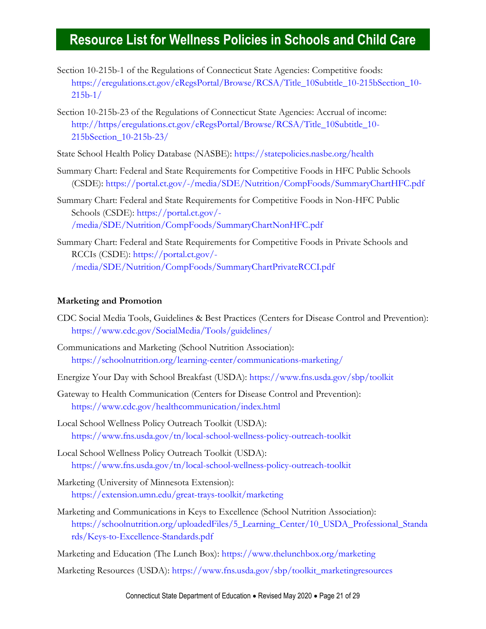- Section 10-215b-1 of the Regulations of Connecticut State Agencies: Competitive foods: [https://eregulations.ct.gov/eRegsPortal/Browse/RCSA/Title\\_10Subtitle\\_10-215bSection\\_10-](https://eregulations.ct.gov/eRegsPortal/Browse/RCSA/Title_10Subtitle_10-215bSection_10-215b-1/) [215b-1/](https://eregulations.ct.gov/eRegsPortal/Browse/RCSA/Title_10Subtitle_10-215bSection_10-215b-1/)
- Section 10-215b-23 of the Regulations of Connecticut State Agencies: Accrual of income: [http://https/eregulations.ct.gov/eRegsPortal/Browse/RCSA/Title\\_10Subtitle\\_10-](http://https/eregulations.ct.gov/eRegsPortal/Browse/RCSA/Title_10Subtitle_10-215bSection_10-215b-23/) [215bSection\\_10-215b-23/](http://https/eregulations.ct.gov/eRegsPortal/Browse/RCSA/Title_10Subtitle_10-215bSection_10-215b-23/)
- State School Health Policy Database (NASBE):<https://statepolicies.nasbe.org/health>
- Summary Chart: Federal and State Requirements for Competitive Foods in HFC Public Schools (CSDE):<https://portal.ct.gov/-/media/SDE/Nutrition/CompFoods/SummaryChartHFC.pdf>
- Summary Chart: Federal and State Requirements for Competitive Foods in Non-HFC Public Schools (CSDE): [https://portal.ct.gov/-](https://portal.ct.gov/-/media/SDE/Nutrition/CompFoods/SummaryChartNonHFC.pdf) [/media/SDE/Nutrition/CompFoods/SummaryChartNonHFC.pdf](https://portal.ct.gov/-/media/SDE/Nutrition/CompFoods/SummaryChartNonHFC.pdf)
- Summary Chart: Federal and State Requirements for Competitive Foods in Private Schools and RCCIs (CSDE): [https://portal.ct.gov/-](https://portal.ct.gov/-/media/SDE/Nutrition/CompFoods/SummaryChartPrivateRCCI.pdf) [/media/SDE/Nutrition/CompFoods/SummaryChartPrivateRCCI.pdf](https://portal.ct.gov/-/media/SDE/Nutrition/CompFoods/SummaryChartPrivateRCCI.pdf)

#### <span id="page-20-0"></span>**Marketing and Promotion**

- CDC Social Media Tools, Guidelines & Best Practices (Centers for Disease Control and Prevention): <https://www.cdc.gov/SocialMedia/Tools/guidelines/>
- Communications and Marketing (School Nutrition Association): <https://schoolnutrition.org/learning-center/communications-marketing/>
- Energize Your Day with School Breakfast (USDA):<https://www.fns.usda.gov/sbp/toolkit>
- Gateway to Health Communication (Centers for Disease Control and Prevention): <https://www.cdc.gov/healthcommunication/index.html>
- Local School Wellness Policy Outreach Toolkit (USDA): <https://www.fns.usda.gov/tn/local-school-wellness-policy-outreach-toolkit>
- Local School Wellness Policy Outreach Toolkit (USDA): <https://www.fns.usda.gov/tn/local-school-wellness-policy-outreach-toolkit>
- Marketing (University of Minnesota Extension): <https://extension.umn.edu/great-trays-toolkit/marketing>
- Marketing and Communications in Keys to Excellence (School Nutrition Association): [https://schoolnutrition.org/uploadedFiles/5\\_Learning\\_Center/10\\_USDA\\_Professional\\_Standa](https://schoolnutrition.org/uploadedFiles/5_Learning_Center/10_USDA_Professional_Standards/Keys-to-Excellence-Standards.pdf) [rds/Keys-to-Excellence-Standards.pdf](https://schoolnutrition.org/uploadedFiles/5_Learning_Center/10_USDA_Professional_Standards/Keys-to-Excellence-Standards.pdf)

Marketing and Education (The Lunch Box):<https://www.thelunchbox.org/marketing>

Marketing Resources (USDA): [https://www.fns.usda.gov/sbp/toolkit\\_marketingresources](https://www.fns.usda.gov/sbp/toolkit_marketingresources)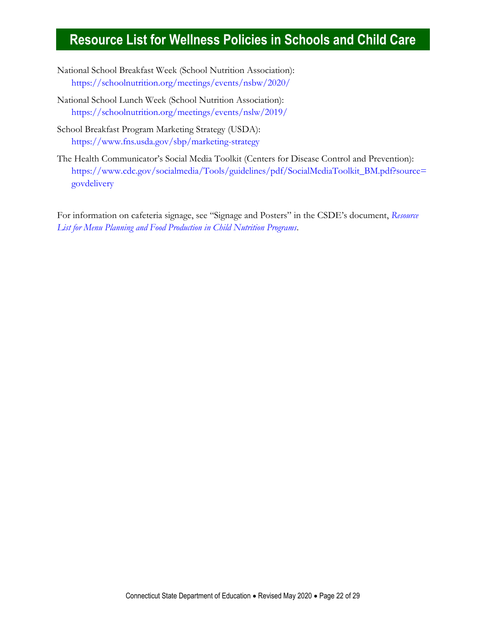- National School Breakfast Week (School Nutrition Association): <https://schoolnutrition.org/meetings/events/nsbw/2020/>
- National School Lunch Week (School Nutrition Association): <https://schoolnutrition.org/meetings/events/nslw/2019/>
- School Breakfast Program Marketing Strategy (USDA): <https://www.fns.usda.gov/sbp/marketing-strategy>
- The Health Communicator's Social Media Toolkit (Centers for Disease Control and Prevention): [https://www.cdc.gov/socialmedia/Tools/guidelines/pdf/SocialMediaToolkit\\_BM.pdf?source=](https://www.cdc.gov/socialmedia/Tools/guidelines/pdf/SocialMediaToolkit_BM.pdf?source=govdelivery) [govdelivery](https://www.cdc.gov/socialmedia/Tools/guidelines/pdf/SocialMediaToolkit_BM.pdf?source=govdelivery)

<span id="page-21-0"></span>For information on cafeteria signage, see "Signage and Posters" in the CSDE's document, *[Resource](https://portal.ct.gov/-/media/SDE/Nutrition/Resources/ResourcesMenuPlanning.pdf)  [List for Menu Planning and Food Production in Child Nutrition Programs](https://portal.ct.gov/-/media/SDE/Nutrition/Resources/ResourcesMenuPlanning.pdf)*.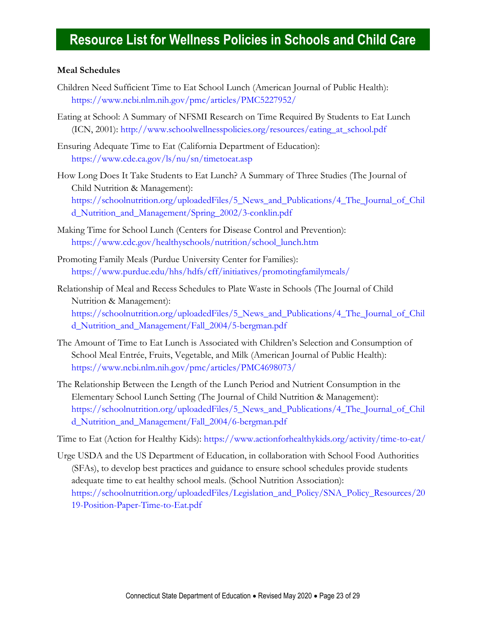### **Meal Schedules**

- Children Need Sufficient Time to Eat School Lunch (American Journal of Public Health): <https://www.ncbi.nlm.nih.gov/pmc/articles/PMC5227952/>
- Eating at School: A Summary of NFSMI Research on Time Required By Students to Eat Lunch (ICN, 2001): [http://www.schoolwellnesspolicies.org/resources/eating\\_at\\_school.pdf](http://www.schoolwellnesspolicies.org/resources/eating_at_school.pdf)
- Ensuring Adequate Time to Eat (California Department of Education): <https://www.cde.ca.gov/ls/nu/sn/timetoeat.asp>
- How Long Does It Take Students to Eat Lunch? A Summary of Three Studies (The Journal of Child Nutrition & Management): [https://schoolnutrition.org/uploadedFiles/5\\_News\\_and\\_Publications/4\\_The\\_Journal\\_of\\_Chil](https://schoolnutrition.org/uploadedFiles/5_News_and_Publications/4_The_Journal_of_Child_Nutrition_and_Management/Spring_2002/3-conklin.pdf) [d\\_Nutrition\\_and\\_Management/Spring\\_2002/3-conklin.pdf](https://schoolnutrition.org/uploadedFiles/5_News_and_Publications/4_The_Journal_of_Child_Nutrition_and_Management/Spring_2002/3-conklin.pdf)
- Making Time for School Lunch (Centers for Disease Control and Prevention): [https://www.cdc.gov/healthyschools/nutrition/school\\_lunch.htm](https://www.cdc.gov/healthyschools/nutrition/school_lunch.htm)
- Promoting Family Meals (Purdue University Center for Families): <https://www.purdue.edu/hhs/hdfs/cff/initiatives/promotingfamilymeals/>
- Relationship of Meal and Recess Schedules to Plate Waste in Schools (The Journal of Child Nutrition & Management): [https://schoolnutrition.org/uploadedFiles/5\\_News\\_and\\_Publications/4\\_The\\_Journal\\_of\\_Chil](https://schoolnutrition.org/uploadedFiles/5_News_and_Publications/4_The_Journal_of_Child_Nutrition_and_Management/Fall_2004/5-bergman.pdf) [d\\_Nutrition\\_and\\_Management/Fall\\_2004/5-bergman.pdf](https://schoolnutrition.org/uploadedFiles/5_News_and_Publications/4_The_Journal_of_Child_Nutrition_and_Management/Fall_2004/5-bergman.pdf)
- The Amount of Time to Eat Lunch is Associated with Children's Selection and Consumption of School Meal Entrée, Fruits, Vegetable, and Milk (American Journal of Public Health): <https://www.ncbi.nlm.nih.gov/pmc/articles/PMC4698073/>
- The Relationship Between the Length of the Lunch Period and Nutrient Consumption in the Elementary School Lunch Setting (The Journal of Child Nutrition & Management): [https://schoolnutrition.org/uploadedFiles/5\\_News\\_and\\_Publications/4\\_The\\_Journal\\_of\\_Chil](https://schoolnutrition.org/uploadedFiles/5_News_and_Publications/4_The_Journal_of_Child_Nutrition_and_Management/Fall_2004/6-bergman.pdf) [d\\_Nutrition\\_and\\_Management/Fall\\_2004/6-bergman.pdf](https://schoolnutrition.org/uploadedFiles/5_News_and_Publications/4_The_Journal_of_Child_Nutrition_and_Management/Fall_2004/6-bergman.pdf)

Time to Eat (Action for Healthy Kids):<https://www.actionforhealthykids.org/activity/time-to-eat/>

<span id="page-22-0"></span>Urge USDA and the US Department of Education, in collaboration with School Food Authorities (SFAs), to develop best practices and guidance to ensure school schedules provide students adequate time to eat healthy school meals. (School Nutrition Association): [https://schoolnutrition.org/uploadedFiles/Legislation\\_and\\_Policy/SNA\\_Policy\\_Resources/20](https://schoolnutrition.org/uploadedFiles/Legislation_and_Policy/SNA_Policy_Resources/2019-Position-Paper-Time-to-Eat.pdf) [19-Position-Paper-Time-to-Eat.pdf](https://schoolnutrition.org/uploadedFiles/Legislation_and_Policy/SNA_Policy_Resources/2019-Position-Paper-Time-to-Eat.pdf)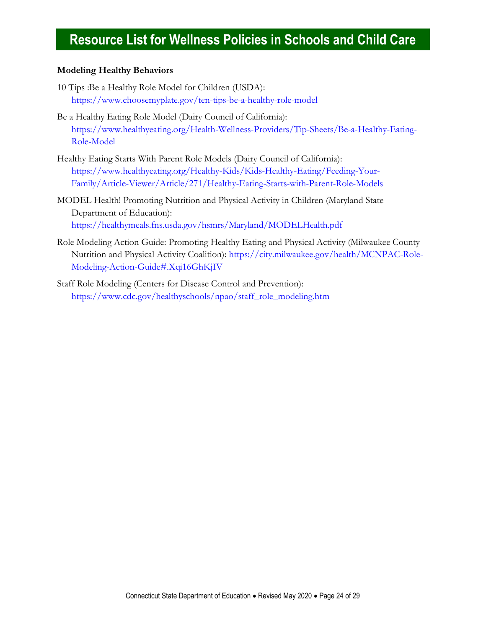### **Modeling Healthy Behaviors**

- 10 Tips :Be a Healthy Role Model for Children (USDA): <https://www.choosemyplate.gov/ten-tips-be-a-healthy-role-model>
- Be a Healthy Eating Role Model (Dairy Council of California): [https://www.healthyeating.org/Health-Wellness-Providers/Tip-Sheets/Be-a-Healthy-Eating-](https://www.healthyeating.org/Health-Wellness-Providers/Tip-Sheets/Be-a-Healthy-Eating-Role-Model)[Role-Model](https://www.healthyeating.org/Health-Wellness-Providers/Tip-Sheets/Be-a-Healthy-Eating-Role-Model)
- Healthy Eating Starts With Parent Role Models (Dairy Council of California): [https://www.healthyeating.org/Healthy-Kids/Kids-Healthy-Eating/Feeding-Your-](https://www.healthyeating.org/Healthy-Kids/Kids-Healthy-Eating/Feeding-Your-Family/Article-Viewer/Article/271/Healthy-Eating-Starts-with-Parent-Role-Models)[Family/Article-Viewer/Article/271/Healthy-Eating-Starts-with-Parent-Role-Models](https://www.healthyeating.org/Healthy-Kids/Kids-Healthy-Eating/Feeding-Your-Family/Article-Viewer/Article/271/Healthy-Eating-Starts-with-Parent-Role-Models)
- MODEL Health! Promoting Nutrition and Physical Activity in Children (Maryland State Department of Education): <https://healthymeals.fns.usda.gov/hsmrs/Maryland/MODELHealth.pdf>
- Role Modeling Action Guide: Promoting Healthy Eating and Physical Activity (Milwaukee County Nutrition and Physical Activity Coalition): [https://city.milwaukee.gov/health/MCNPAC-Role-](https://city.milwaukee.gov/health/MCNPAC-Role-Modeling-Action-Guide#.Xqi16GhKjIV)[Modeling-Action-Guide#.Xqi16GhKjIV](https://city.milwaukee.gov/health/MCNPAC-Role-Modeling-Action-Guide#.Xqi16GhKjIV)
- <span id="page-23-0"></span>Staff Role Modeling (Centers for Disease Control and Prevention): [https://www.cdc.gov/healthyschools/npao/staff\\_role\\_modeling.htm](https://www.cdc.gov/healthyschools/npao/staff_role_modeling.htm)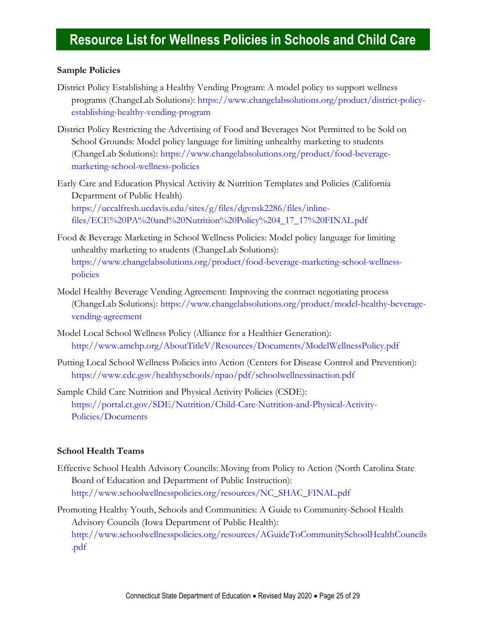### **Sample Policies**

- District Policy Establishing a Healthy Vending Program: A model policy to support wellness programs (ChangeLab Solutions): [https://www.changelabsolutions.org/product/district-policy](https://www.changelabsolutions.org/product/district-policy-establishing-healthy-vending-program)[establishing-healthy-vending-program](https://www.changelabsolutions.org/product/district-policy-establishing-healthy-vending-program)
- District Policy Restricting the Advertising of Food and Beverages Not Permitted to be Sold on School Grounds: Model policy language for limiting unhealthy marketing to students (ChangeLab Solutions): [https://www.changelabsolutions.org/product/food-beverage](https://www.changelabsolutions.org/product/food-beverage-marketing-school-wellness-policies)[marketing-school-wellness-policies](https://www.changelabsolutions.org/product/food-beverage-marketing-school-wellness-policies)
- Early Care and Education Physical Activity & Nutrition Templates and Policies (California Department of Public Health) [https://uccalfresh.ucdavis.edu/sites/g/files/dgvnsk2286/files/inline](https://uccalfresh.ucdavis.edu/sites/g/files/dgvnsk2286/files/inline-files/ECE%20PA%20and%20Nutrition%20Policy%204_17_17%20FINAL.pdf)[files/ECE%20PA%20and%20Nutrition%20Policy%204\\_17\\_17%20FINAL.pdf](https://uccalfresh.ucdavis.edu/sites/g/files/dgvnsk2286/files/inline-files/ECE%20PA%20and%20Nutrition%20Policy%204_17_17%20FINAL.pdf)
- Food & Beverage Marketing in School Wellness Policies: Model policy language for limiting unhealthy marketing to students (ChangeLab Solutions): [https://www.changelabsolutions.org/product/food-beverage-marketing-school-wellness](https://www.changelabsolutions.org/product/food-beverage-marketing-school-wellness-policies)[policies](https://www.changelabsolutions.org/product/food-beverage-marketing-school-wellness-policies)
- Model Healthy Beverage Vending Agreement: Improving the contract negotiating process (ChangeLab Solutions): [https://www.changelabsolutions.org/product/model-healthy-beverage](https://www.changelabsolutions.org/product/model-healthy-beverage-vending-agreement)[vending-agreement](https://www.changelabsolutions.org/product/model-healthy-beverage-vending-agreement)
- Model Local School Wellness Policy (Alliance for a Healthier Generation): <http://www.amchp.org/AboutTitleV/Resources/Documents/ModelWellnessPolicy.pdf>
- Putting Local School Wellness Policies into Action (Centers for Disease Control and Prevention): <https://www.cdc.gov/healthyschools/npao/pdf/schoolwellnessinaction.pdf>
- Sample Child Care Nutrition and Physical Activity Policies (CSDE): [https://portal.ct.gov/SDE/Nutrition/Child-Care-Nutrition-and-Physical-Activity-](https://portal.ct.gov/SDE/Nutrition/Child-Care-Nutrition-and-Physical-Activity-Policies/Documents)[Policies/Documents](https://portal.ct.gov/SDE/Nutrition/Child-Care-Nutrition-and-Physical-Activity-Policies/Documents)

### <span id="page-24-0"></span>**School Health Teams**

- [Effective School Health Advisory Councils: Moving from Policy to Action](http://www.nchealthyschools.org/nchealthyschools/htdocs/SHAC_manual.pdf) (North Carolina State Board of Education and Department of Public Instruction): [http://www.schoolwellnesspolicies.org/resources/NC\\_SHAC\\_FINAL.pdf](http://www.schoolwellnesspolicies.org/resources/NC_SHAC_FINAL.pdf)
- <span id="page-24-1"></span>Promoting Healthy Youth, Schools and Communities: A Guide to Community-School Health Advisory Councils (Iowa Department of Public Health): [http://www.schoolwellnesspolicies.org/resources/AGuideToCommunitySchoolHealthCouncils](http://www.schoolwellnesspolicies.org/resources/AGuideToCommunitySchoolHealthCouncils.pdf) [.pdf](http://www.schoolwellnesspolicies.org/resources/AGuideToCommunitySchoolHealthCouncils.pdf)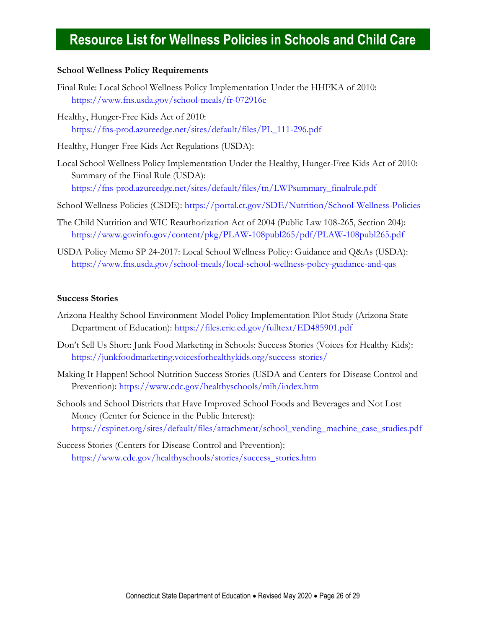#### **School Wellness Policy Requirements**

- Final Rule: Local School Wellness Policy Implementation Under the HHFKA of 2010: <https://www.fns.usda.gov/school-meals/fr-072916c>
- Healthy, Hunger-Free Kids Act of 2010: [https://fns-prod.azureedge.net/sites/default/files/PL\\_111-296.pdf](https://fns-prod.azureedge.net/sites/default/files/PL_111-296.pdf)

Healthy, Hunger-Free Kids Act Regulations (USDA):

- Local School Wellness Policy Implementation Under the Healthy, Hunger-Free Kids Act of 2010: Summary of the Final Rule (USDA): [https://fns-prod.azureedge.net/sites/default/files/tn/LWPsummary\\_finalrule.pdf](https://fns-prod.azureedge.net/sites/default/files/tn/LWPsummary_finalrule.pdf)
- School Wellness Policies (CSDE):<https://portal.ct.gov/SDE/Nutrition/School-Wellness-Policies>
- The Child Nutrition and WIC Reauthorization Act of 2004 (Public Law 108-265, Section 204): <https://www.govinfo.gov/content/pkg/PLAW-108publ265/pdf/PLAW-108publ265.pdf>
- USDA Policy Memo SP 24-2017: Local School Wellness Policy: Guidance and Q&As (USDA): <https://www.fns.usda.gov/school-meals/local-school-wellness-policy-guidance-and-qas>

#### <span id="page-25-0"></span>**Success Stories**

- Arizona Healthy School Environment Model Policy Implementation Pilot Study (Arizona State Department of Education):<https://files.eric.ed.gov/fulltext/ED485901.pdf>
- Don't Sell Us Short: Junk Food Marketing in Schools: Success Stories (Voices for Healthy Kids): <https://junkfoodmarketing.voicesforhealthykids.org/success-stories/>
- Making It Happen! School Nutrition Success Stories (USDA and Centers for Disease Control and Prevention):<https://www.cdc.gov/healthyschools/mih/index.htm>
- Schools and School Districts that Have Improved School Foods and Beverages and Not Lost Money (Center for Science in the Public Interest): [https://cspinet.org/sites/default/files/attachment/school\\_vending\\_machine\\_case\\_studies.pdf](https://cspinet.org/sites/default/files/attachment/school_vending_machine_case_studies.pdf)

Success Stories (Centers for Disease Control and Prevention): [https://www.cdc.gov/healthyschools/stories/success\\_stories.htm](https://www.cdc.gov/healthyschools/stories/success_stories.htm)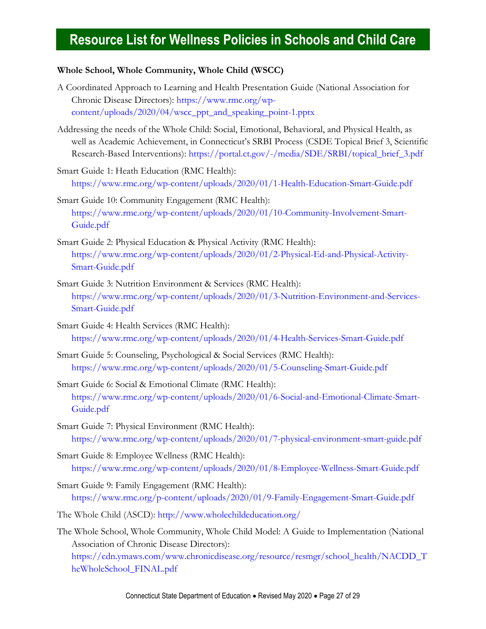### <span id="page-26-0"></span>**Whole School, Whole Community, Whole Child (WSCC)**

- A Coordinated Approach to Learning and Health Presentation Guide (National Association for Chronic Disease Directors): [https://www.rmc.org/wp](https://www.rmc.org/wp-content/uploads/2020/04/wscc_ppt_and_speaking_point-1.pptx)[content/uploads/2020/04/wscc\\_ppt\\_and\\_speaking\\_point-1.pptx](https://www.rmc.org/wp-content/uploads/2020/04/wscc_ppt_and_speaking_point-1.pptx)
- Addressing the needs of the Whole Child: Social, Emotional, Behavioral, and Physical Health, as well as Academic Achievement, in Connecticut's SRBI Process (CSDE Topical Brief 3, Scientific Research-Based Interventions): [https://portal.ct.gov/-/media/SDE/SRBI/topical\\_brief\\_3.pdf](https://portal.ct.gov/-/media/SDE/SRBI/topical_brief_3.pdf)
- Smart Guide 1: Heath Education (RMC Health): <https://www.rmc.org/wp-content/uploads/2020/01/1-Health-Education-Smart-Guide.pdf>
- Smart Guide 10: Community Engagement (RMC Health): [https://www.rmc.org/wp-content/uploads/2020/01/10-Community-Involvement-Smart-](https://www.rmc.org/wp-content/uploads/2020/01/10-Community-Involvement-Smart-Guide.pdf)[Guide.pdf](https://www.rmc.org/wp-content/uploads/2020/01/10-Community-Involvement-Smart-Guide.pdf)
- Smart Guide 2: Physical Education & Physical Activity (RMC Health): [https://www.rmc.org/wp-content/uploads/2020/01/2-Physical-Ed-and-Physical-Activity-](https://www.rmc.org/wp-content/uploads/2020/01/2-Physical-Ed-and-Physical-Activity-Smart-Guide.pdf)[Smart-Guide.pdf](https://www.rmc.org/wp-content/uploads/2020/01/2-Physical-Ed-and-Physical-Activity-Smart-Guide.pdf)
- Smart Guide 3: Nutrition Environment & Services (RMC Health): [https://www.rmc.org/wp-content/uploads/2020/01/3-Nutrition-Environment-and-Services-](https://www.rmc.org/wp-content/uploads/2020/01/3-Nutrition-Environment-and-Services-Smart-Guide.pdf)[Smart-Guide.pdf](https://www.rmc.org/wp-content/uploads/2020/01/3-Nutrition-Environment-and-Services-Smart-Guide.pdf)
- Smart Guide 4: Health Services (RMC Health): <https://www.rmc.org/wp-content/uploads/2020/01/4-Health-Services-Smart-Guide.pdf>
- Smart Guide 5: Counseling, Psychological & Social Services (RMC Health): <https://www.rmc.org/wp-content/uploads/2020/01/5-Counseling-Smart-Guide.pdf>
- Smart Guide 6: Social & Emotional Climate (RMC Health): [https://www.rmc.org/wp-content/uploads/2020/01/6-Social-and-Emotional-Climate-Smart-](https://www.rmc.org/wp-content/uploads/2020/01/6-Social-and-Emotional-Climate-Smart-Guide.pdf)[Guide.pdf](https://www.rmc.org/wp-content/uploads/2020/01/6-Social-and-Emotional-Climate-Smart-Guide.pdf)
- Smart Guide 7: Physical Environment (RMC Health): <https://www.rmc.org/wp-content/uploads/2020/01/7-physical-environment-smart-guide.pdf>
- Smart Guide 8: Employee Wellness (RMC Health): <https://www.rmc.org/wp-content/uploads/2020/01/8-Employee-Wellness-Smart-Guide.pdf>
- Smart Guide 9: Family Engagement (RMC Health): [https://www.rmc.org/p-content/uploads/2020/01/9-Family-Engagement-Smart-Guide.pdf](https://www.rmc.org/wp-content/uploads/2020/01/9-Family-Engagement-Smart-Guide.pdf)
- The Whole Child (ASCD):<http://www.wholechildeducation.org/>
- The Whole School, Whole Community, Whole Child Model: A Guide to Implementation (National Association of Chronic Disease Directors): [https://cdn.ymaws.com/www.chronicdisease.org/resource/resmgr/school\\_health/NACDD\\_T](https://cdn.ymaws.com/www.chronicdisease.org/resource/resmgr/school_health/NACDD_TheWholeSchool_FINAL.pdf) [heWholeSchool\\_FINAL.pdf](https://cdn.ymaws.com/www.chronicdisease.org/resource/resmgr/school_health/NACDD_TheWholeSchool_FINAL.pdf)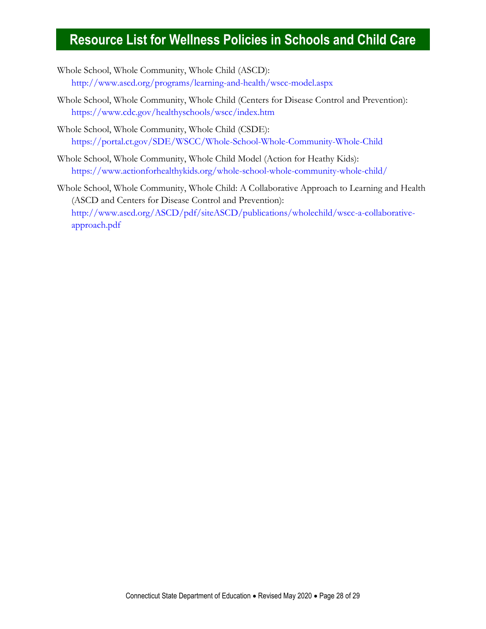- Whole School, Whole Community, Whole Child (ASCD): <http://www.ascd.org/programs/learning-and-health/wscc-model.aspx>
- Whole School, Whole Community, Whole Child (Centers for Disease Control and Prevention): <https://www.cdc.gov/healthyschools/wscc/index.htm>
- Whole School, Whole Community, Whole Child (CSDE): <https://portal.ct.gov/SDE/WSCC/Whole-School-Whole-Community-Whole-Child>
- Whole School, Whole Community, Whole Child Model (Action for Heathy Kids): <https://www.actionforhealthykids.org/whole-school-whole-community-whole-child/>
- Whole School, Whole Community, Whole Child: A Collaborative Approach to Learning and Health (ASCD and Centers for Disease Control and Prevention): [http://www.ascd.org/ASCD/pdf/siteASCD/publications/wholechild/wscc-a-collaborative](http://www.ascd.org/ASCD/pdf/siteASCD/publications/wholechild/wscc-a-collaborative-approach.pdf)[approach.pdf](http://www.ascd.org/ASCD/pdf/siteASCD/publications/wholechild/wscc-a-collaborative-approach.pdf)